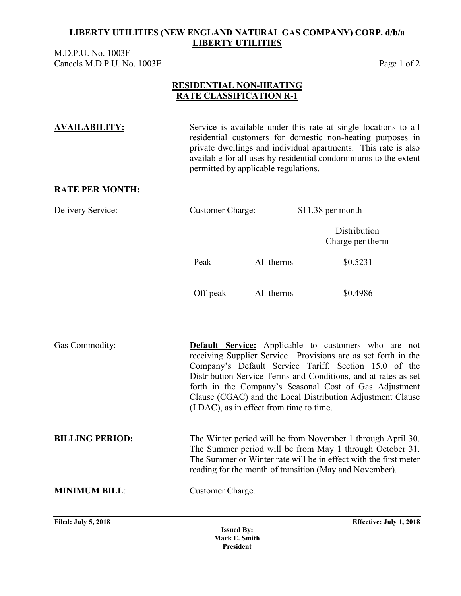M.D.P.U. No. 1003F Cancels M.D.P.U. No. 1003E Page 1 of 2

### **RESIDENTIAL NON-HEATING RATE CLASSIFICATION R-1**

**AVAILABILITY:** Service is available under this rate at single locations to all residential customers for domestic non-heating purposes in private dwellings and individual apartments. This rate is also available for all uses by residential condominiums to the extent permitted by applicable regulations. **RATE PER MONTH:** Delivery Service: Customer Charge: \$11.38 per month **Distribution** Charge per therm Peak All therms \$0.5231 Off-peak All therms \$0.4986 Gas Commodity: **Default Service:** Applicable to customers who are not receiving Supplier Service. Provisions are as set forth in the Company's Default Service Tariff, Section 15.0 of the Distribution Service Terms and Conditions, and at rates as set forth in the Company's Seasonal Cost of Gas Adjustment Clause (CGAC) and the Local Distribution Adjustment Clause (LDAC), as in effect from time to time. **BILLING PERIOD:** The Winter period will be from November 1 through April 30. The Summer period will be from May 1 through October 31. The Summer or Winter rate will be in effect with the first meter reading for the month of transition (May and November). **MINIMUM BILL**: Customer Charge.

**Filed: July 5, 2018 Effective: July 1, 2018**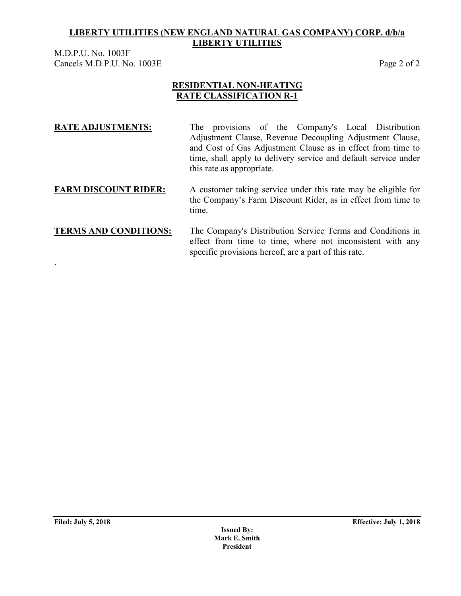M.D.P.U. No. 1003F Cancels M.D.P.U. No. 1003E Page 2 of 2

### **RESIDENTIAL NON-HEATING RATE CLASSIFICATION R-1**

| <b>RATE ADJUSTMENTS:</b> | The provisions of the Company's Local Distribution              |  |  |  |  |
|--------------------------|-----------------------------------------------------------------|--|--|--|--|
|                          | Adjustment Clause, Revenue Decoupling Adjustment Clause,        |  |  |  |  |
|                          | and Cost of Gas Adjustment Clause as in effect from time to     |  |  |  |  |
|                          | time, shall apply to delivery service and default service under |  |  |  |  |
|                          | this rate as appropriate.                                       |  |  |  |  |
|                          |                                                                 |  |  |  |  |

### **FARM DISCOUNT RIDER:** A customer taking service under this rate may be eligible for the Company's Farm Discount Rider, as in effect from time to time.

### **TERMS AND CONDITIONS:** The Company's Distribution Service Terms and Conditions in effect from time to time, where not inconsistent with any specific provisions hereof, are a part of this rate.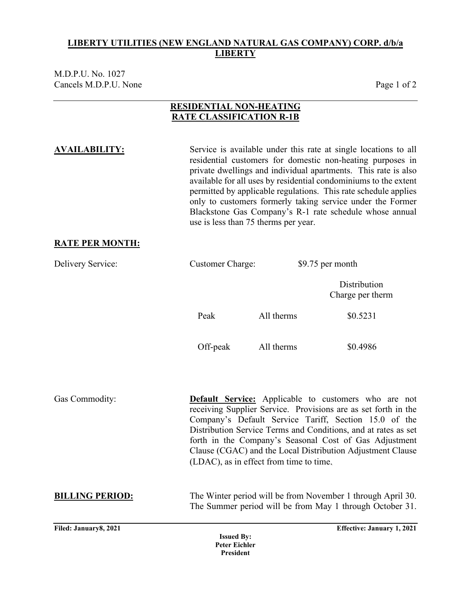M.D.P.U. No. 1027 Cancels M.D.P.U. None Page 1 of 2

## **RESIDENTIAL NON-HEATING RATE CLASSIFICATION R-1B**

**AVAILABILITY:** Service is available under this rate at single locations to all residential customers for domestic non-heating purposes in private dwellings and individual apartments. This rate is also available for all uses by residential condominiums to the extent permitted by applicable regulations. This rate schedule applies only to customers formerly taking service under the Former Blackstone Gas Company's R-1 rate schedule whose annual use is less than 75 therms per year.

### **RATE PER MONTH:**

| Delivery Service:      | <b>Customer Charge:</b>                   |            | \$9.75 per month                                                                                                                                                                                                                                                                                                                                                                 |
|------------------------|-------------------------------------------|------------|----------------------------------------------------------------------------------------------------------------------------------------------------------------------------------------------------------------------------------------------------------------------------------------------------------------------------------------------------------------------------------|
|                        |                                           |            | Distribution<br>Charge per therm                                                                                                                                                                                                                                                                                                                                                 |
|                        | Peak                                      | All therms | \$0.5231                                                                                                                                                                                                                                                                                                                                                                         |
|                        | Off-peak                                  | All therms | \$0.4986                                                                                                                                                                                                                                                                                                                                                                         |
| Gas Commodity:         | (LDAC), as in effect from time to time,   |            | <b>Default Service:</b> Applicable to customers who are not<br>receiving Supplier Service. Provisions are as set forth in the<br>Company's Default Service Tariff, Section 15.0 of the<br>Distribution Service Terms and Conditions, and at rates as set<br>forth in the Company's Seasonal Cost of Gas Adjustment<br>Clause (CGAC) and the Local Distribution Adjustment Clause |
| <b>BILLING PERIOD:</b> |                                           |            | The Winter period will be from November 1 through April 30.<br>The Summer period will be from May 1 through October 31.                                                                                                                                                                                                                                                          |
| Filed: January8, 2021  | <b>Issued By:</b><br><b>Peter Eichler</b> |            | <b>Effective: January 1, 2021</b>                                                                                                                                                                                                                                                                                                                                                |

**President**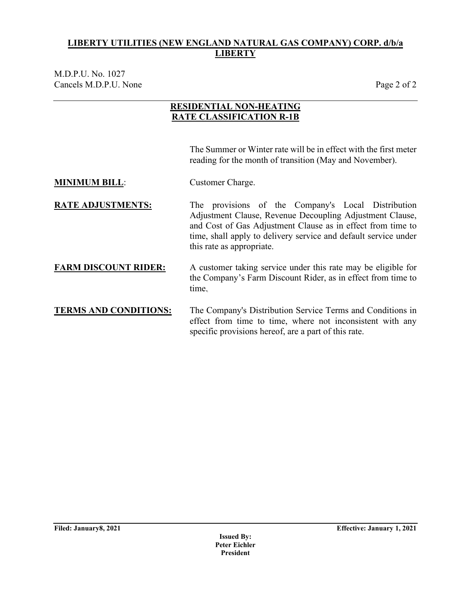M.D.P.U. No. 1027 Cancels M.D.P.U. None Page 2 of 2

## **RESIDENTIAL NON-HEATING RATE CLASSIFICATION R-1B**

The Summer or Winter rate will be in effect with the first meter reading for the month of transition (May and November).

- **MINIMUM BILL:** Customer Charge.
- **RATE ADJUSTMENTS:** The provisions of the Company's Local Distribution Adjustment Clause, Revenue Decoupling Adjustment Clause, and Cost of Gas Adjustment Clause as in effect from time to time, shall apply to delivery service and default service under this rate as appropriate.
- **FARM DISCOUNT RIDER:** A customer taking service under this rate may be eligible for the Company's Farm Discount Rider, as in effect from time to time.
- **TERMS AND CONDITIONS:** The Company's Distribution Service Terms and Conditions in effect from time to time, where not inconsistent with any specific provisions hereof, are a part of this rate.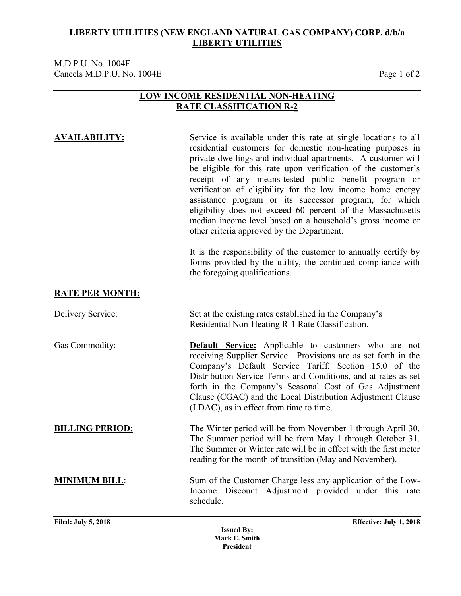M.D.P.U. No. 1004F Cancels M.D.P.U. No. 1004E Page 1 of 2

### **LOW INCOME RESIDENTIAL NON-HEATING RATE CLASSIFICATION R-2**

### **AVAILABILITY:** Service is available under this rate at single locations to all residential customers for domestic non-heating purposes in private dwellings and individual apartments. A customer will be eligible for this rate upon verification of the customer's receipt of any means-tested public benefit program or verification of eligibility for the low income home energy assistance program or its successor program, for which eligibility does not exceed 60 percent of the Massachusetts median income level based on a household's gross income or other criteria approved by the Department.

It is the responsibility of the customer to annually certify by forms provided by the utility, the continued compliance with the foregoing qualifications.

### **RATE PER MONTH:**

| Delivery Service:      | Set at the existing rates established in the Company's<br>Residential Non-Heating R-1 Rate Classification.                                                                                                                                                                                                                                                                                                                  |  |  |  |
|------------------------|-----------------------------------------------------------------------------------------------------------------------------------------------------------------------------------------------------------------------------------------------------------------------------------------------------------------------------------------------------------------------------------------------------------------------------|--|--|--|
| Gas Commodity:         | <b>Default Service:</b> Applicable to customers who are not<br>receiving Supplier Service. Provisions are as set forth in the<br>Company's Default Service Tariff, Section 15.0 of the<br>Distribution Service Terms and Conditions, and at rates as set<br>forth in the Company's Seasonal Cost of Gas Adjustment<br>Clause (CGAC) and the Local Distribution Adjustment Clause<br>(LDAC), as in effect from time to time. |  |  |  |
| <b>BILLING PERIOD:</b> | The Winter period will be from November 1 through April 30.<br>The Summer period will be from May 1 through October 31.<br>The Summer or Winter rate will be in effect with the first meter<br>reading for the month of transition (May and November).                                                                                                                                                                      |  |  |  |
| <b>MINIMUM BILL:</b>   | Sum of the Customer Charge less any application of the Low-<br>Income Discount Adjustment provided under this rate<br>schedule.                                                                                                                                                                                                                                                                                             |  |  |  |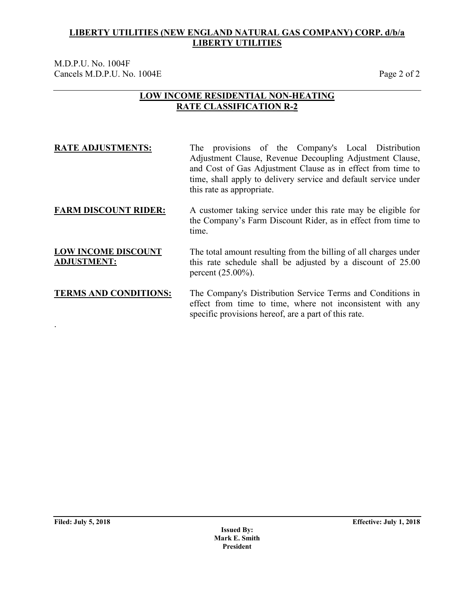M.D.P.U. No. 1004F Cancels M.D.P.U. No. 1004E Page 2 of 2

### **LOW INCOME RESIDENTIAL NON-HEATING RATE CLASSIFICATION R-2**

| <b>RATE ADJUSTMENTS:</b>                         | The provisions of the Company's Local Distribution<br>Adjustment Clause, Revenue Decoupling Adjustment Clause,<br>and Cost of Gas Adjustment Clause as in effect from time to<br>time, shall apply to delivery service and default service under<br>this rate as appropriate. |
|--------------------------------------------------|-------------------------------------------------------------------------------------------------------------------------------------------------------------------------------------------------------------------------------------------------------------------------------|
| <b>FARM DISCOUNT RIDER:</b>                      | A customer taking service under this rate may be eligible for<br>the Company's Farm Discount Rider, as in effect from time to<br>time.                                                                                                                                        |
| <b>LOW INCOME DISCOUNT</b><br><b>ADJUSTMENT:</b> | The total amount resulting from the billing of all charges under<br>this rate schedule shall be adjusted by a discount of 25.00<br>percent $(25.00\%)$ .                                                                                                                      |
| <b>TERMS AND CONDITIONS:</b>                     | The Company's Distribution Service Terms and Conditions in<br>effect from time to time, where not inconsistent with any<br>specific provisions hereof, are a part of this rate.                                                                                               |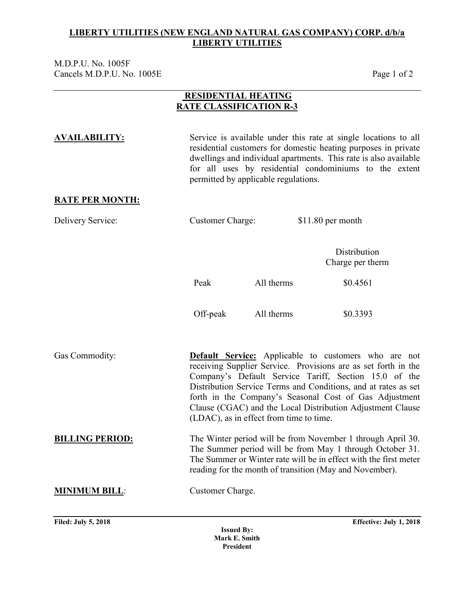M.D.P.U. No. 1005F Cancels M.D.P.U. No. 1005E Page 1 of 2

### **RESIDENTIAL HEATING RATE CLASSIFICATION R-3**

**AVAILABILITY:** Service is available under this rate at single locations to all residential customers for domestic heating purposes in private dwellings and individual apartments. This rate is also available for all uses by residential condominiums to the extent permitted by applicable regulations.

## **RATE PER MONTH:**

| $$11.80$ per month      |
|-------------------------|
| <b>Customer Charge:</b> |

**Distribution** Charge per therm

Peak All therms \$0.4561

Off-peak All therms \$0.3393

Gas Commodity: **Default Service:** Applicable to customers who are not receiving Supplier Service. Provisions are as set forth in the Company's Default Service Tariff, Section 15.0 of the Distribution Service Terms and Conditions, and at rates as set forth in the Company's Seasonal Cost of Gas Adjustment Clause (CGAC) and the Local Distribution Adjustment Clause (LDAC), as in effect from time to time. **BILLING PERIOD:** The Winter period will be from November 1 through April 30.

The Summer period will be from May 1 through October 31. The Summer or Winter rate will be in effect with the first meter reading for the month of transition (May and November).

**MINIMUM BILL**: Customer Charge.

**Issued By: Mark E. Smith President**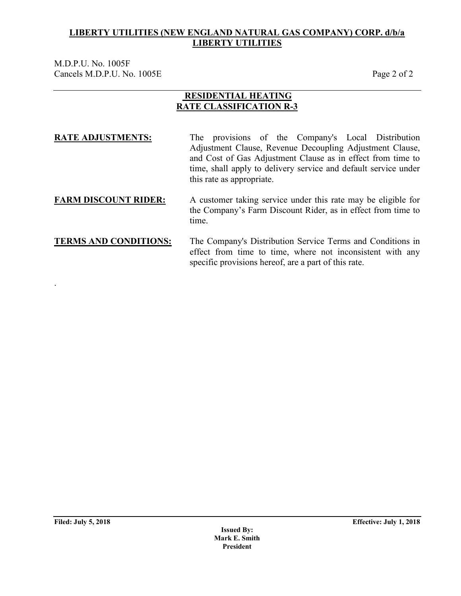M.D.P.U. No. 1005F Cancels M.D.P.U. No. 1005E Page 2 of 2

### **RESIDENTIAL HEATING RATE CLASSIFICATION R-3**

**RATE ADJUSTMENTS:** The provisions of the Company's Local Distribution Adjustment Clause, Revenue Decoupling Adjustment Clause, and Cost of Gas Adjustment Clause as in effect from time to time, shall apply to delivery service and default service under this rate as appropriate.

### **FARM DISCOUNT RIDER:** A customer taking service under this rate may be eligible for the Company's Farm Discount Rider, as in effect from time to time.

### **TERMS AND CONDITIONS:** The Company's Distribution Service Terms and Conditions in effect from time to time, where not inconsistent with any specific provisions hereof, are a part of this rate.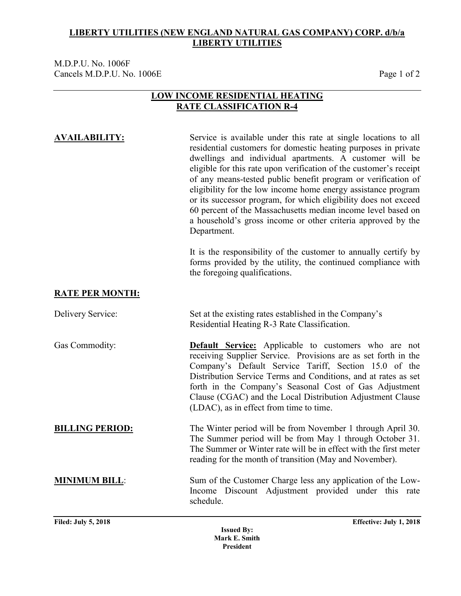M.D.P.U. No. 1006F Cancels M.D.P.U. No. 1006E Page 1 of 2

### **LOW INCOME RESIDENTIAL HEATING RATE CLASSIFICATION R-4**

**AVAILABILITY:** Service is available under this rate at single locations to all residential customers for domestic heating purposes in private dwellings and individual apartments. A customer will be eligible for this rate upon verification of the customer's receipt of any means-tested public benefit program or verification of eligibility for the low income home energy assistance program or its successor program, for which eligibility does not exceed 60 percent of the Massachusetts median income level based on a household's gross income or other criteria approved by the Department.

> It is the responsibility of the customer to annually certify by forms provided by the utility, the continued compliance with the foregoing qualifications.

### **RATE PER MONTH:**

| Delivery Service:      | Set at the existing rates established in the Company's<br>Residential Heating R-3 Rate Classification.                                                                                                                                                                                                                                                                                                                      |  |  |
|------------------------|-----------------------------------------------------------------------------------------------------------------------------------------------------------------------------------------------------------------------------------------------------------------------------------------------------------------------------------------------------------------------------------------------------------------------------|--|--|
| Gas Commodity:         | <b>Default Service:</b> Applicable to customers who are not<br>receiving Supplier Service. Provisions are as set forth in the<br>Company's Default Service Tariff, Section 15.0 of the<br>Distribution Service Terms and Conditions, and at rates as set<br>forth in the Company's Seasonal Cost of Gas Adjustment<br>Clause (CGAC) and the Local Distribution Adjustment Clause<br>(LDAC), as in effect from time to time. |  |  |
| <b>BILLING PERIOD:</b> | The Winter period will be from November 1 through April 30.<br>The Summer period will be from May 1 through October 31.<br>The Summer or Winter rate will be in effect with the first meter<br>reading for the month of transition (May and November).                                                                                                                                                                      |  |  |
| <b>MINIMUM BILL:</b>   | Sum of the Customer Charge less any application of the Low-<br>Income Discount Adjustment provided under this rate<br>schedule.                                                                                                                                                                                                                                                                                             |  |  |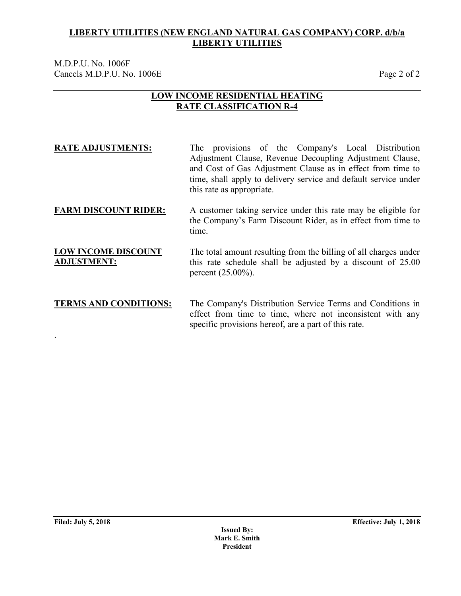M.D.P.U. No. 1006F Cancels M.D.P.U. No. 1006E Page 2 of 2

### **LOW INCOME RESIDENTIAL HEATING RATE CLASSIFICATION R-4**

| <b>RATE ADJUSTMENTS:</b>                         | The provisions of the Company's Local Distribution<br>Adjustment Clause, Revenue Decoupling Adjustment Clause,<br>and Cost of Gas Adjustment Clause as in effect from time to<br>time, shall apply to delivery service and default service under<br>this rate as appropriate. |  |  |  |  |
|--------------------------------------------------|-------------------------------------------------------------------------------------------------------------------------------------------------------------------------------------------------------------------------------------------------------------------------------|--|--|--|--|
| <b>FARM DISCOUNT RIDER:</b>                      | A customer taking service under this rate may be eligible for<br>the Company's Farm Discount Rider, as in effect from time to<br>time.                                                                                                                                        |  |  |  |  |
| <b>LOW INCOME DISCOUNT</b><br><b>ADJUSTMENT:</b> | The total amount resulting from the billing of all charges under<br>this rate schedule shall be adjusted by a discount of 25.00<br>percent $(25.00\%)$ .                                                                                                                      |  |  |  |  |

### **TERMS AND CONDITIONS:** The Company's Distribution Service Terms and Conditions in effect from time to time, where not inconsistent with any specific provisions hereof, are a part of this rate.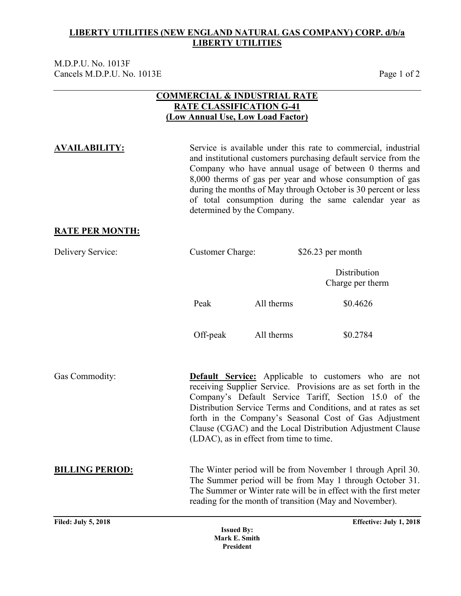M.D.P.U. No. 1013F Cancels M.D.P.U. No. 1013E Page 1 of 2

### **COMMERCIAL & INDUSTRIAL RATE RATE CLASSIFICATION G-41 (Low Annual Use, Low Load Factor)**

**AVAILABILITY:** Service is available under this rate to commercial, industrial and institutional customers purchasing default service from the Company who have annual usage of between 0 therms and 8,000 therms of gas per year and whose consumption of gas during the months of May through October is 30 percent or less of total consumption during the same calendar year as determined by the Company.

### **RATE PER MONTH:**

| <b>Customer Charge:</b><br>Delivery Service: |                                    |                                         | $$26.23$ per month                                                                                                                                                                                                                                                                                                                                                               |  |
|----------------------------------------------|------------------------------------|-----------------------------------------|----------------------------------------------------------------------------------------------------------------------------------------------------------------------------------------------------------------------------------------------------------------------------------------------------------------------------------------------------------------------------------|--|
|                                              |                                    |                                         | Distribution<br>Charge per therm                                                                                                                                                                                                                                                                                                                                                 |  |
|                                              | Peak                               | All therms                              | \$0.4626                                                                                                                                                                                                                                                                                                                                                                         |  |
|                                              | Off-peak                           | All therms                              | \$0.2784                                                                                                                                                                                                                                                                                                                                                                         |  |
| Gas Commodity:                               |                                    | (LDAC), as in effect from time to time. | <b>Default Service:</b> Applicable to customers who are not<br>receiving Supplier Service. Provisions are as set forth in the<br>Company's Default Service Tariff, Section 15.0 of the<br>Distribution Service Terms and Conditions, and at rates as set<br>forth in the Company's Seasonal Cost of Gas Adjustment<br>Clause (CGAC) and the Local Distribution Adjustment Clause |  |
| <b>BILLING PERIOD:</b>                       |                                    |                                         | The Winter period will be from November 1 through April 30.<br>The Summer period will be from May 1 through October 31.<br>The Summer or Winter rate will be in effect with the first meter<br>reading for the month of transition (May and November).                                                                                                                           |  |
| <b>Filed: July 5, 2018</b>                   | <b>Issued By:</b><br>Mark E. Smith |                                         | Effective: July 1, 2018                                                                                                                                                                                                                                                                                                                                                          |  |

**President**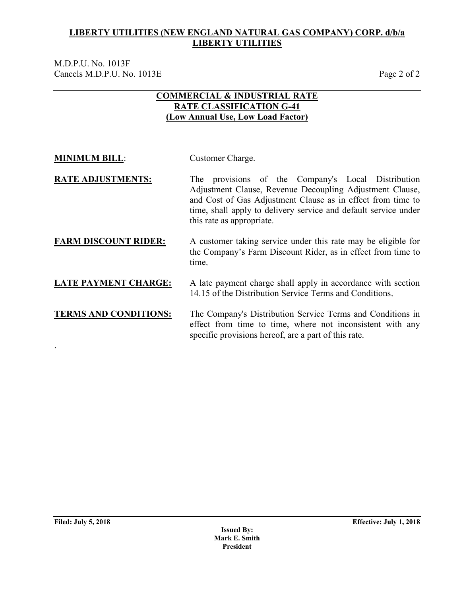M.D.P.U. No. 1013F Cancels M.D.P.U. No. 1013E Page 2 of 2

## **COMMERCIAL & INDUSTRIAL RATE RATE CLASSIFICATION G-41 (Low Annual Use, Low Load Factor)**

| <b>MINIMUM BILL:</b> | Customer Charge. |
|----------------------|------------------|
|                      |                  |

**RATE ADJUSTMENTS:** The provisions of the Company's Local Distribution Adjustment Clause, Revenue Decoupling Adjustment Clause, and Cost of Gas Adjustment Clause as in effect from time to time, shall apply to delivery service and default service under this rate as appropriate.

### **FARM DISCOUNT RIDER:** A customer taking service under this rate may be eligible for the Company's Farm Discount Rider, as in effect from time to time.

## **LATE PAYMENT CHARGE:** A late payment charge shall apply in accordance with section 14.15 of the Distribution Service Terms and Conditions.

### **TERMS AND CONDITIONS:** The Company's Distribution Service Terms and Conditions in effect from time to time, where not inconsistent with any specific provisions hereof, are a part of this rate. .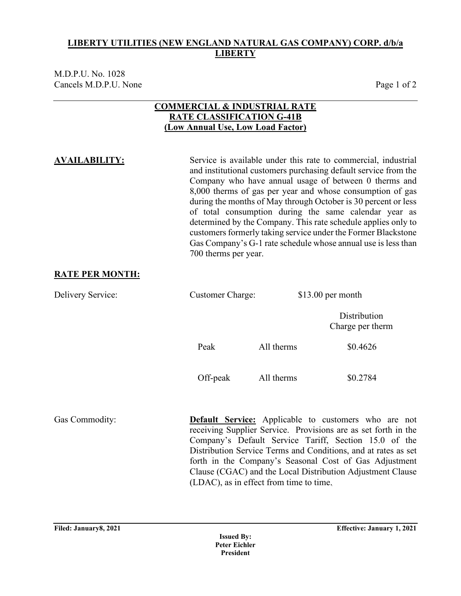M.D.P.U. No. 1028 Cancels M.D.P.U. None Page 1 of 2

### **COMMERCIAL & INDUSTRIAL RATE RATE CLASSIFICATION G-41B (Low Annual Use, Low Load Factor)**

**AVAILABILITY:** Service is available under this rate to commercial, industrial and institutional customers purchasing default service from the Company who have annual usage of between 0 therms and 8,000 therms of gas per year and whose consumption of gas during the months of May through October is 30 percent or less of total consumption during the same calendar year as determined by the Company. This rate schedule applies only to customers formerly taking service under the Former Blackstone Gas Company's G-1 rate schedule whose annual use is less than 700 therms per year.

Clause (CGAC) and the Local Distribution Adjustment Clause

### **RATE PER MONTH:**

Delivery Service: Customer Charge: \$13.00 per month **Distribution** Charge per therm Peak All therms  $\$0.4626$ Off-peak All therms \$0.2784 Gas Commodity: **Default Service:** Applicable to customers who are not receiving Supplier Service. Provisions are as set forth in the Company's Default Service Tariff, Section 15.0 of the Distribution Service Terms and Conditions, and at rates as set forth in the Company's Seasonal Cost of Gas Adjustment

(LDAC), as in effect from time to time.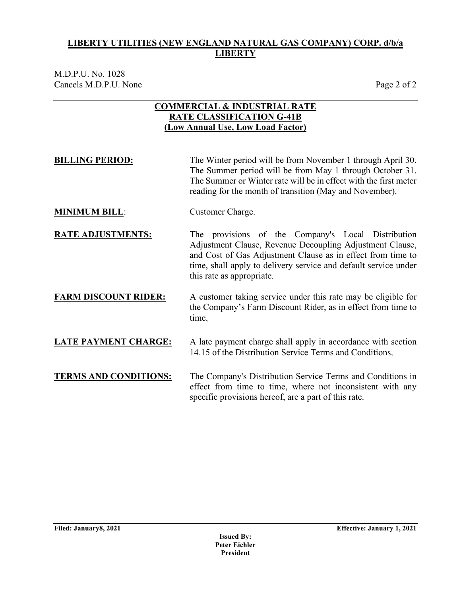M.D.P.U. No. 1028 Cancels M.D.P.U. None Page 2 of 2

### **COMMERCIAL & INDUSTRIAL RATE RATE CLASSIFICATION G-41B (Low Annual Use, Low Load Factor)**

| <b>BILLING PERIOD:</b>      | The Winter period will be from November 1 through April 30.<br>The Summer period will be from May 1 through October 31.<br>The Summer or Winter rate will be in effect with the first meter<br>reading for the month of transition (May and November).                        |  |  |
|-----------------------------|-------------------------------------------------------------------------------------------------------------------------------------------------------------------------------------------------------------------------------------------------------------------------------|--|--|
| <b>MINIMUM BILL:</b>        | Customer Charge.                                                                                                                                                                                                                                                              |  |  |
| <b>RATE ADJUSTMENTS:</b>    | The provisions of the Company's Local Distribution<br>Adjustment Clause, Revenue Decoupling Adjustment Clause,<br>and Cost of Gas Adjustment Clause as in effect from time to<br>time, shall apply to delivery service and default service under<br>this rate as appropriate. |  |  |
| <b>FARM DISCOUNT RIDER:</b> | A customer taking service under this rate may be eligible for<br>the Company's Farm Discount Rider, as in effect from time to<br>time.                                                                                                                                        |  |  |
| <b>LATE PAYMENT CHARGE:</b> | A late payment charge shall apply in accordance with section<br>14.15 of the Distribution Service Terms and Conditions.                                                                                                                                                       |  |  |

**TERMS AND CONDITIONS:** The Company's Distribution Service Terms and Conditions in effect from time to time, where not inconsistent with any specific provisions hereof, are a part of this rate.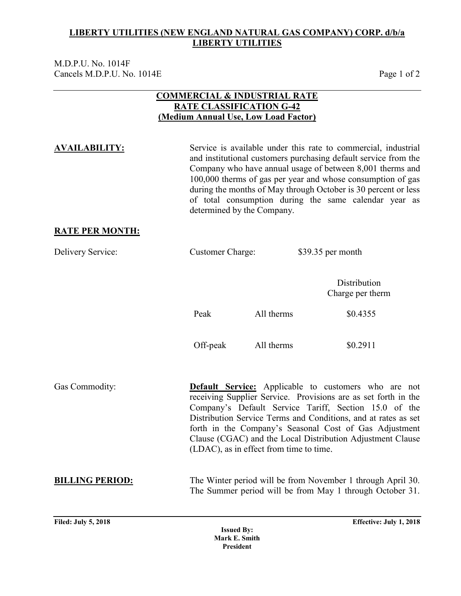M.D.P.U. No. 1014F Cancels M.D.P.U. No. 1014E Page 1 of 2

### **COMMERCIAL & INDUSTRIAL RATE RATE CLASSIFICATION G-42 (Medium Annual Use, Low Load Factor)**

**Filed: July 5, 2018 Effective: July 1, 2018 AVAILABILITY:** Service is available under this rate to commercial, industrial and institutional customers purchasing default service from the Company who have annual usage of between 8,001 therms and 100,000 therms of gas per year and whose consumption of gas during the months of May through October is 30 percent or less of total consumption during the same calendar year as determined by the Company. **RATE PER MONTH:** Delivery Service: Customer Charge: \$39.35 per month Distribution Charge per therm Peak All therms \$0.4355 Off-peak All therms \$0.2911 Gas Commodity: **Default Service:** Applicable to customers who are not receiving Supplier Service. Provisions are as set forth in the Company's Default Service Tariff, Section 15.0 of the Distribution Service Terms and Conditions, and at rates as set forth in the Company's Seasonal Cost of Gas Adjustment Clause (CGAC) and the Local Distribution Adjustment Clause (LDAC), as in effect from time to time. **BILLING PERIOD:** The Winter period will be from November 1 through April 30. The Summer period will be from May 1 through October 31.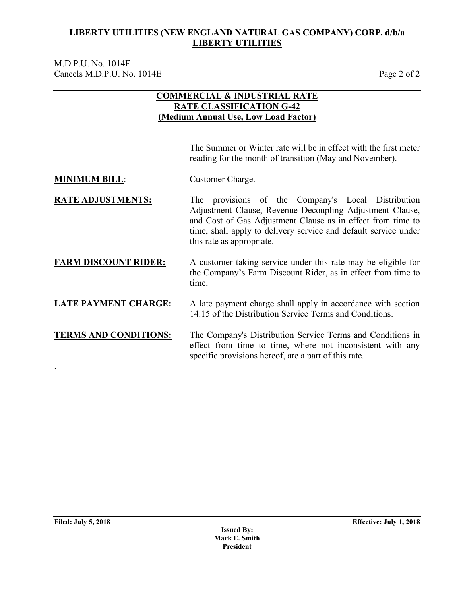M.D.P.U. No. 1014F Cancels M.D.P.U. No. 1014E Page 2 of 2

## **COMMERCIAL & INDUSTRIAL RATE RATE CLASSIFICATION G-42 (Medium Annual Use, Low Load Factor)**

The Summer or Winter rate will be in effect with the first meter reading for the month of transition (May and November).

**MINIMUM BILL:** Customer Charge.

**RATE ADJUSTMENTS:** The provisions of the Company's Local Distribution Adjustment Clause, Revenue Decoupling Adjustment Clause, and Cost of Gas Adjustment Clause as in effect from time to time, shall apply to delivery service and default service under this rate as appropriate.

### **FARM DISCOUNT RIDER:** A customer taking service under this rate may be eligible for the Company's Farm Discount Rider, as in effect from time to time.

## **LATE PAYMENT CHARGE:** A late payment charge shall apply in accordance with section 14.15 of the Distribution Service Terms and Conditions.

**TERMS AND CONDITIONS:** The Company's Distribution Service Terms and Conditions in effect from time to time, where not inconsistent with any specific provisions hereof, are a part of this rate.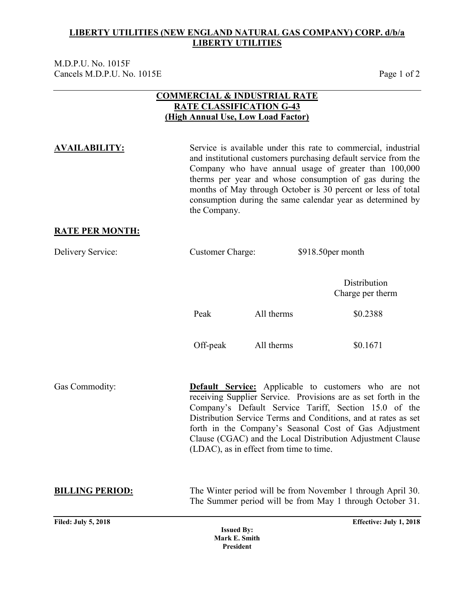M.D.P.U. No. 1015F Cancels M.D.P.U. No. 1015E Page 1 of 2

### **COMMERCIAL & INDUSTRIAL RATE RATE CLASSIFICATION G-43 (High Annual Use, Low Load Factor)**

**AVAILABILITY:** Service is available under this rate to commercial, industrial and institutional customers purchasing default service from the Company who have annual usage of greater than 100,000 therms per year and whose consumption of gas during the months of May through October is 30 percent or less of total consumption during the same calendar year as determined by the Company.

### **RATE PER MONTH:**

| Delivery Service:          | <b>Customer Charge:</b> |                                         | \$918.50 per month                                                                                                                                                                                                                                                                                                                                                               |
|----------------------------|-------------------------|-----------------------------------------|----------------------------------------------------------------------------------------------------------------------------------------------------------------------------------------------------------------------------------------------------------------------------------------------------------------------------------------------------------------------------------|
|                            |                         |                                         | Distribution<br>Charge per therm                                                                                                                                                                                                                                                                                                                                                 |
|                            | Peak                    | All therms                              | \$0.2388                                                                                                                                                                                                                                                                                                                                                                         |
|                            | Off-peak                | All therms                              | \$0.1671                                                                                                                                                                                                                                                                                                                                                                         |
| Gas Commodity:             |                         | (LDAC), as in effect from time to time. | <b>Default Service:</b> Applicable to customers who are not<br>receiving Supplier Service. Provisions are as set forth in the<br>Company's Default Service Tariff, Section 15.0 of the<br>Distribution Service Terms and Conditions, and at rates as set<br>forth in the Company's Seasonal Cost of Gas Adjustment<br>Clause (CGAC) and the Local Distribution Adjustment Clause |
| <b>BILLING PERIOD:</b>     |                         |                                         | The Winter period will be from November 1 through April 30.<br>The Summer period will be from May 1 through October 31.                                                                                                                                                                                                                                                          |
| <b>Filed: July 5, 2018</b> | <b>Issued By:</b>       |                                         | Effective: July 1, 2018                                                                                                                                                                                                                                                                                                                                                          |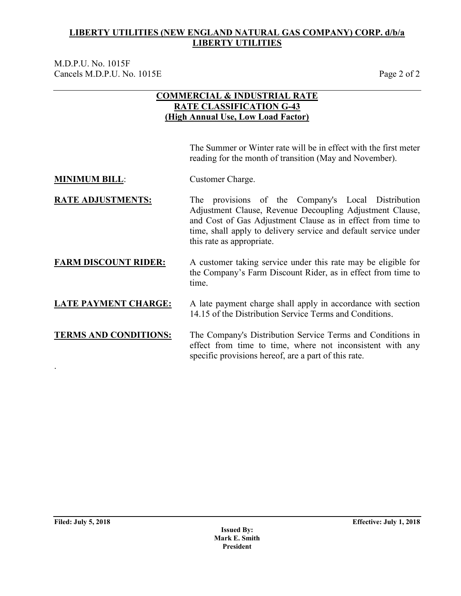M.D.P.U. No. 1015F Cancels M.D.P.U. No. 1015E Page 2 of 2

## **COMMERCIAL & INDUSTRIAL RATE RATE CLASSIFICATION G-43 (High Annual Use, Low Load Factor)**

The Summer or Winter rate will be in effect with the first meter reading for the month of transition (May and November).

**MINIMUM BILL:** Customer Charge.

**RATE ADJUSTMENTS:** The provisions of the Company's Local Distribution Adjustment Clause, Revenue Decoupling Adjustment Clause, and Cost of Gas Adjustment Clause as in effect from time to time, shall apply to delivery service and default service under this rate as appropriate.

### **FARM DISCOUNT RIDER:** A customer taking service under this rate may be eligible for the Company's Farm Discount Rider, as in effect from time to time.

## **LATE PAYMENT CHARGE:** A late payment charge shall apply in accordance with section 14.15 of the Distribution Service Terms and Conditions.

**TERMS AND CONDITIONS:** The Company's Distribution Service Terms and Conditions in effect from time to time, where not inconsistent with any specific provisions hereof, are a part of this rate.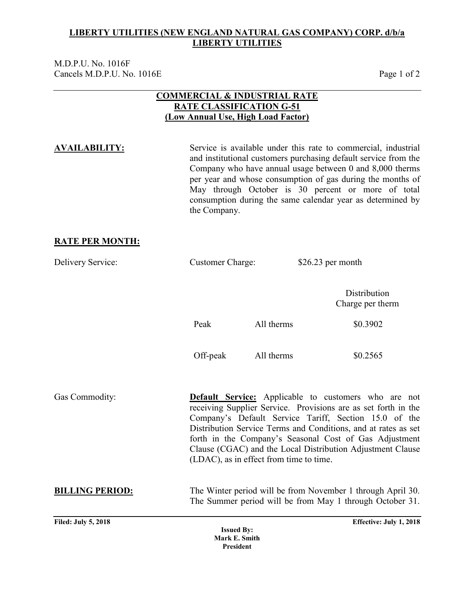M.D.P.U. No. 1016F Cancels M.D.P.U. No. 1016E Page 1 of 2

### **COMMERCIAL & INDUSTRIAL RATE RATE CLASSIFICATION G-51 (Low Annual Use, High Load Factor)**

**AVAILABILITY:** Service is available under this rate to commercial, industrial and institutional customers purchasing default service from the Company who have annual usage between 0 and 8,000 therms per year and whose consumption of gas during the months of May through October is 30 percent or more of total consumption during the same calendar year as determined by the Company.

### **RATE PER MONTH:**

| Delivery Service:          | <b>Customer Charge:</b> |                                         | $$26.23$ per month                                                                                                                                                                                                                                                                                                                                                               |
|----------------------------|-------------------------|-----------------------------------------|----------------------------------------------------------------------------------------------------------------------------------------------------------------------------------------------------------------------------------------------------------------------------------------------------------------------------------------------------------------------------------|
|                            |                         |                                         | Distribution<br>Charge per therm                                                                                                                                                                                                                                                                                                                                                 |
|                            | Peak                    | All therms                              | \$0.3902                                                                                                                                                                                                                                                                                                                                                                         |
|                            | Off-peak                | All therms                              | \$0.2565                                                                                                                                                                                                                                                                                                                                                                         |
| Gas Commodity:             |                         | (LDAC), as in effect from time to time. | <b>Default Service:</b> Applicable to customers who are not<br>receiving Supplier Service. Provisions are as set forth in the<br>Company's Default Service Tariff, Section 15.0 of the<br>Distribution Service Terms and Conditions, and at rates as set<br>forth in the Company's Seasonal Cost of Gas Adjustment<br>Clause (CGAC) and the Local Distribution Adjustment Clause |
| <b>BILLING PERIOD:</b>     |                         |                                         | The Winter period will be from November 1 through April 30.<br>The Summer period will be from May 1 through October 31.                                                                                                                                                                                                                                                          |
| <b>Filed: July 5, 2018</b> | <b>Issued By:</b>       |                                         | Effective: July 1, 2018                                                                                                                                                                                                                                                                                                                                                          |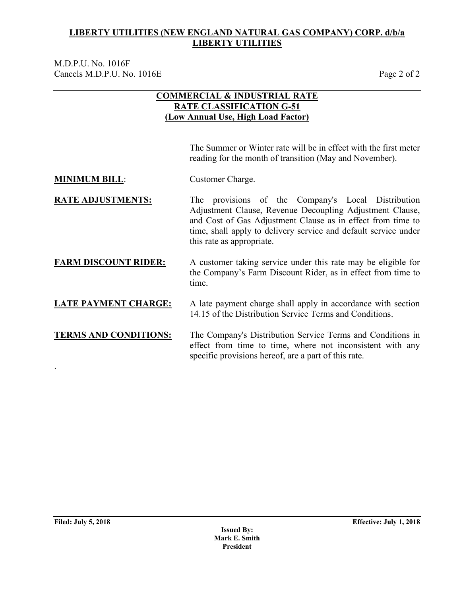M.D.P.U. No. 1016F Cancels M.D.P.U. No. 1016E Page 2 of 2

## **COMMERCIAL & INDUSTRIAL RATE RATE CLASSIFICATION G-51 (Low Annual Use, High Load Factor)**

The Summer or Winter rate will be in effect with the first meter reading for the month of transition (May and November).

**MINIMUM BILL:** Customer Charge.

**RATE ADJUSTMENTS:** The provisions of the Company's Local Distribution Adjustment Clause, Revenue Decoupling Adjustment Clause, and Cost of Gas Adjustment Clause as in effect from time to time, shall apply to delivery service and default service under this rate as appropriate.

### **FARM DISCOUNT RIDER:** A customer taking service under this rate may be eligible for the Company's Farm Discount Rider, as in effect from time to time.

## **LATE PAYMENT CHARGE:** A late payment charge shall apply in accordance with section 14.15 of the Distribution Service Terms and Conditions.

**TERMS AND CONDITIONS:** The Company's Distribution Service Terms and Conditions in effect from time to time, where not inconsistent with any specific provisions hereof, are a part of this rate.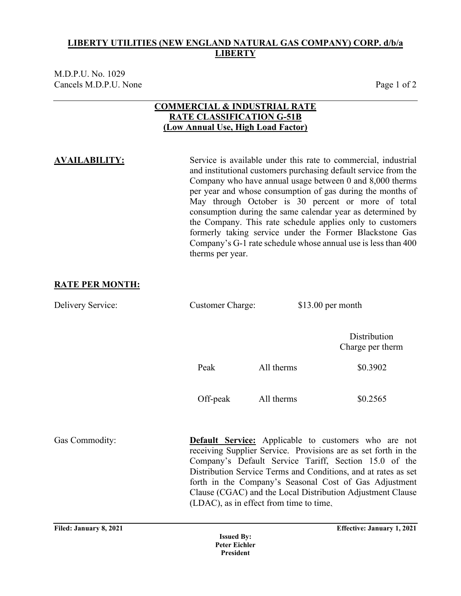M.D.P.U. No. 1029 Cancels M.D.P.U. None Page 1 of 2

### **COMMERCIAL & INDUSTRIAL RATE RATE CLASSIFICATION G-51B (Low Annual Use, High Load Factor)**

**AVAILABILITY:** Service is available under this rate to commercial, industrial and institutional customers purchasing default service from the Company who have annual usage between 0 and 8,000 therms per year and whose consumption of gas during the months of May through October is 30 percent or more of total consumption during the same calendar year as determined by the Company. This rate schedule applies only to customers formerly taking service under the Former Blackstone Gas Company's G-1 rate schedule whose annual use is less than 400 therms per year.

### **RATE PER MONTH:**

Delivery Service: Customer Charge: \$13.00 per month **Distribution** Charge per therm Peak All therms \$0.3902 Off-peak All therms \$0.2565 Gas Commodity: **Default Service:** Applicable to customers who are not receiving Supplier Service. Provisions are as set forth in the Company's Default Service Tariff, Section 15.0 of the Distribution Service Terms and Conditions, and at rates as set forth in the Company's Seasonal Cost of Gas Adjustment Clause (CGAC) and the Local Distribution Adjustment Clause (LDAC), as in effect from time to time.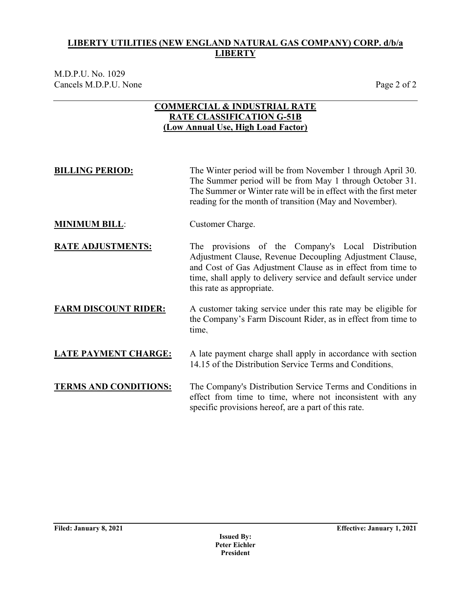M.D.P.U. No. 1029 Cancels M.D.P.U. None Page 2 of 2

### **COMMERCIAL & INDUSTRIAL RATE RATE CLASSIFICATION G-51B (Low Annual Use, High Load Factor)**

**BILLING PERIOD:** The Winter period will be from November 1 through April 30. The Summer period will be from May 1 through October 31. The Summer or Winter rate will be in effect with the first meter reading for the month of transition (May and November).

**MINIMUM BILL:** Customer Charge.

**RATE ADJUSTMENTS:** The provisions of the Company's Local Distribution Adjustment Clause, Revenue Decoupling Adjustment Clause, and Cost of Gas Adjustment Clause as in effect from time to time, shall apply to delivery service and default service under this rate as appropriate.

### **FARM DISCOUNT RIDER:** A customer taking service under this rate may be eligible for the Company's Farm Discount Rider, as in effect from time to time.

**LATE PAYMENT CHARGE:** A late payment charge shall apply in accordance with section 14.15 of the Distribution Service Terms and Conditions.

**TERMS AND CONDITIONS:** The Company's Distribution Service Terms and Conditions in effect from time to time, where not inconsistent with any specific provisions hereof, are a part of this rate.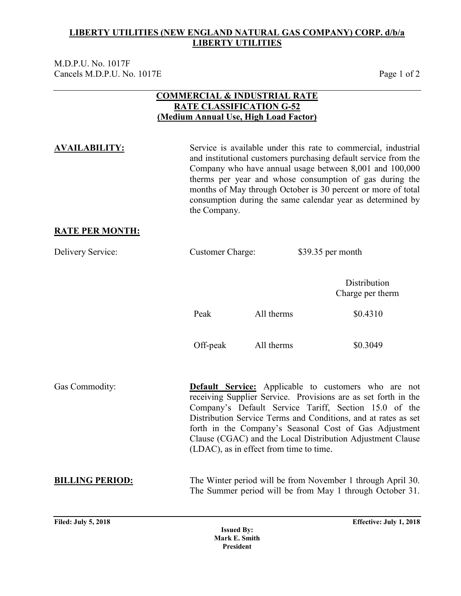M.D.P.U. No. 1017F Cancels M.D.P.U. No. 1017E Page 1 of 2

### **COMMERCIAL & INDUSTRIAL RATE RATE CLASSIFICATION G-52 (Medium Annual Use, High Load Factor)**

**AVAILABILITY:** Service is available under this rate to commercial, industrial and institutional customers purchasing default service from the Company who have annual usage between 8,001 and 100,000 therms per year and whose consumption of gas during the months of May through October is 30 percent or more of total consumption during the same calendar year as determined by the Company.

### **RATE PER MONTH:**

| Delivery Service:          | <b>Customer Charge:</b> |                                         | \$39.35 per month                                                                                                                                                                                                                                                                                                                                                                |  |  |
|----------------------------|-------------------------|-----------------------------------------|----------------------------------------------------------------------------------------------------------------------------------------------------------------------------------------------------------------------------------------------------------------------------------------------------------------------------------------------------------------------------------|--|--|
|                            |                         |                                         | Distribution<br>Charge per therm                                                                                                                                                                                                                                                                                                                                                 |  |  |
|                            | Peak                    | All therms                              | \$0.4310                                                                                                                                                                                                                                                                                                                                                                         |  |  |
|                            | Off-peak                | All therms                              | \$0.3049                                                                                                                                                                                                                                                                                                                                                                         |  |  |
| Gas Commodity:             |                         | (LDAC), as in effect from time to time. | <b>Default Service:</b> Applicable to customers who are not<br>receiving Supplier Service. Provisions are as set forth in the<br>Company's Default Service Tariff, Section 15.0 of the<br>Distribution Service Terms and Conditions, and at rates as set<br>forth in the Company's Seasonal Cost of Gas Adjustment<br>Clause (CGAC) and the Local Distribution Adjustment Clause |  |  |
| <b>BILLING PERIOD:</b>     |                         |                                         | The Winter period will be from November 1 through April 30.<br>The Summer period will be from May 1 through October 31.                                                                                                                                                                                                                                                          |  |  |
| <b>Filed: July 5, 2018</b> | $\mathbf{r}$ in         |                                         | Effective: July 1, 2018                                                                                                                                                                                                                                                                                                                                                          |  |  |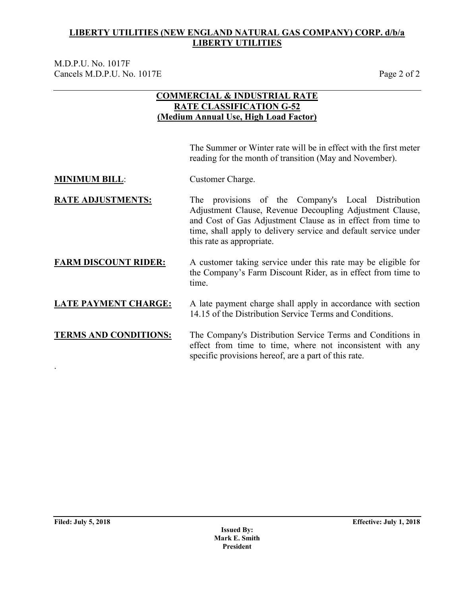M.D.P.U. No. 1017F Cancels M.D.P.U. No. 1017E Page 2 of 2

## **COMMERCIAL & INDUSTRIAL RATE RATE CLASSIFICATION G-52 (Medium Annual Use, High Load Factor)**

The Summer or Winter rate will be in effect with the first meter reading for the month of transition (May and November).

**MINIMUM BILL:** Customer Charge.

**RATE ADJUSTMENTS:** The provisions of the Company's Local Distribution Adjustment Clause, Revenue Decoupling Adjustment Clause, and Cost of Gas Adjustment Clause as in effect from time to time, shall apply to delivery service and default service under this rate as appropriate.

### **FARM DISCOUNT RIDER:** A customer taking service under this rate may be eligible for the Company's Farm Discount Rider, as in effect from time to time.

## **LATE PAYMENT CHARGE:** A late payment charge shall apply in accordance with section 14.15 of the Distribution Service Terms and Conditions.

**TERMS AND CONDITIONS:** The Company's Distribution Service Terms and Conditions in effect from time to time, where not inconsistent with any specific provisions hereof, are a part of this rate.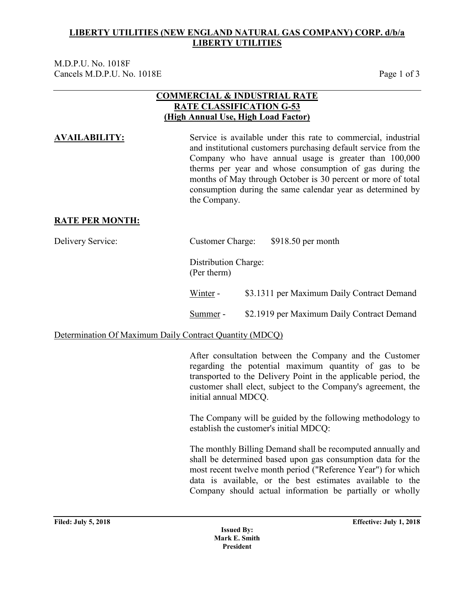M.D.P.U. No. 1018F Cancels M.D.P.U. No. 1018E Page 1 of 3

### **COMMERCIAL & INDUSTRIAL RATE RATE CLASSIFICATION G-53 (High Annual Use, High Load Factor)**

**AVAILABILITY:** Service is available under this rate to commercial, industrial and institutional customers purchasing default service from the Company who have annual usage is greater than 100,000 therms per year and whose consumption of gas during the months of May through October is 30 percent or more of total consumption during the same calendar year as determined by the Company.

### **RATE PER MONTH:**

| Delivery Service:                                       | <b>Customer Charge:</b>             | $$918.50$ per month                        |
|---------------------------------------------------------|-------------------------------------|--------------------------------------------|
|                                                         | Distribution Charge:<br>(Per therm) |                                            |
|                                                         | Winter -                            | \$3.1311 per Maximum Daily Contract Demand |
|                                                         | Summer -                            | \$2.1919 per Maximum Daily Contract Demand |
| Determination Of Maximum Daily Contract Quantity (MDCQ) |                                     |                                            |

After consultation between the Company and the Customer regarding the potential maximum quantity of gas to be transported to the Delivery Point in the applicable period, the customer shall elect, subject to the Company's agreement, the initial annual MDCQ.

The Company will be guided by the following methodology to establish the customer's initial MDCQ:

The monthly Billing Demand shall be recomputed annually and shall be determined based upon gas consumption data for the most recent twelve month period ("Reference Year") for which data is available, or the best estimates available to the Company should actual information be partially or wholly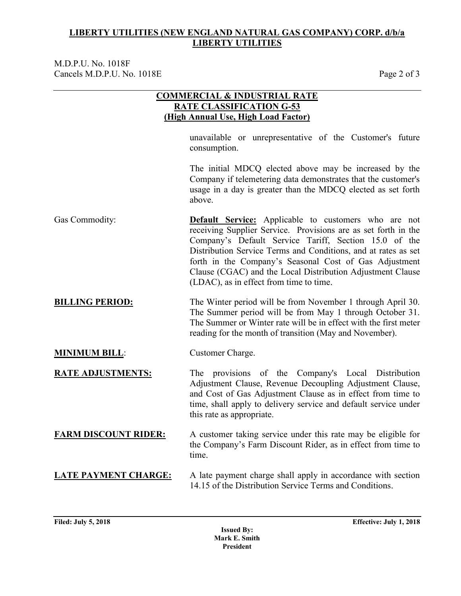M.D.P.U. No. 1018F Cancels M.D.P.U. No. 1018E Page 2 of 3

|                             | <b>COMMERCIAL &amp; INDUSTRIAL RATE</b><br><b>RATE CLASSIFICATION G-53</b><br>(High Annual Use, High Load Factor)                                                                                                                                                                                                                                                                                                           |
|-----------------------------|-----------------------------------------------------------------------------------------------------------------------------------------------------------------------------------------------------------------------------------------------------------------------------------------------------------------------------------------------------------------------------------------------------------------------------|
|                             | unavailable or unrepresentative of the Customer's future<br>consumption.                                                                                                                                                                                                                                                                                                                                                    |
|                             | The initial MDCQ elected above may be increased by the<br>Company if telemetering data demonstrates that the customer's<br>usage in a day is greater than the MDCQ elected as set forth<br>above.                                                                                                                                                                                                                           |
| Gas Commodity:              | <b>Default Service:</b> Applicable to customers who are not<br>receiving Supplier Service. Provisions are as set forth in the<br>Company's Default Service Tariff, Section 15.0 of the<br>Distribution Service Terms and Conditions, and at rates as set<br>forth in the Company's Seasonal Cost of Gas Adjustment<br>Clause (CGAC) and the Local Distribution Adjustment Clause<br>(LDAC), as in effect from time to time. |
| <b>BILLING PERIOD:</b>      | The Winter period will be from November 1 through April 30.<br>The Summer period will be from May 1 through October 31.<br>The Summer or Winter rate will be in effect with the first meter<br>reading for the month of transition (May and November).                                                                                                                                                                      |
| <b>MINIMUM BILL:</b>        | Customer Charge.                                                                                                                                                                                                                                                                                                                                                                                                            |
| <b>RATE ADJUSTMENTS:</b>    | The provisions of the Company's Local Distribution<br>Adjustment Clause, Revenue Decoupling Adjustment Clause,<br>and Cost of Gas Adjustment Clause as in effect from time to<br>time, shall apply to delivery service and default service under<br>this rate as appropriate.                                                                                                                                               |
| <b>FARM DISCOUNT RIDER:</b> | A customer taking service under this rate may be eligible for<br>the Company's Farm Discount Rider, as in effect from time to<br>time,                                                                                                                                                                                                                                                                                      |
| <b>LATE PAYMENT CHARGE:</b> | A late payment charge shall apply in accordance with section<br>14.15 of the Distribution Service Terms and Conditions.                                                                                                                                                                                                                                                                                                     |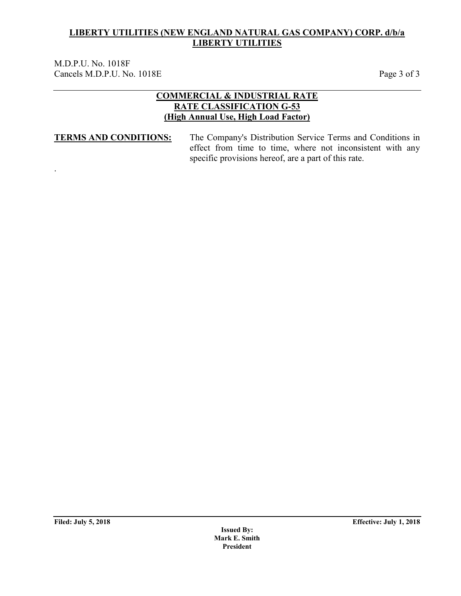M.D.P.U. No. 1018F Cancels M.D.P.U. No. 1018E Page 3 of 3

### **COMMERCIAL & INDUSTRIAL RATE RATE CLASSIFICATION G-53 (High Annual Use, High Load Factor)**

.

**TERMS AND CONDITIONS:** The Company's Distribution Service Terms and Conditions in effect from time to time, where not inconsistent with any specific provisions hereof, are a part of this rate.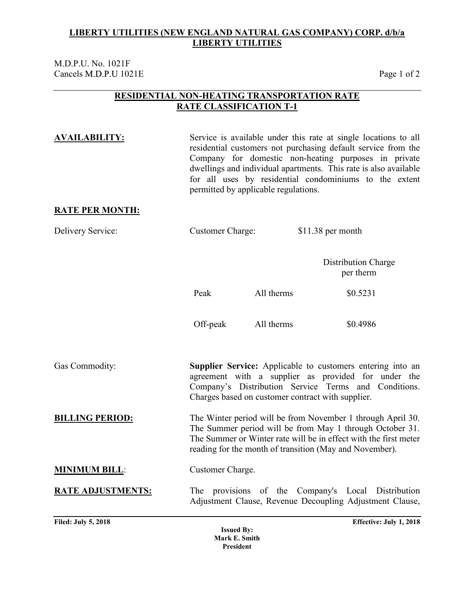M.D.P.U. No. 1021F Cancels M.D.P.U 1021E Page 1 of 2

### **RESIDENTIAL NON-HEATING TRANSPORTATION RATE RATE CLASSIFICATION T-1**

**AVAILABILITY:** Service is available under this rate at single locations to all residential customers not purchasing default service from the Company for domestic non-heating purposes in private dwellings and individual apartments. This rate is also available for all uses by residential condominiums to the extent permitted by applicable regulations.

### **RATE PER MONTH:**

| Delivery Service:        | <b>Customer Charge:</b> |            | \$11.38 per month                                                                                                                                                                                                                                      |
|--------------------------|-------------------------|------------|--------------------------------------------------------------------------------------------------------------------------------------------------------------------------------------------------------------------------------------------------------|
|                          |                         |            | Distribution Charge<br>per therm                                                                                                                                                                                                                       |
|                          | Peak                    | All therms | \$0.5231                                                                                                                                                                                                                                               |
|                          | Off-peak                | All therms | \$0.4986                                                                                                                                                                                                                                               |
| Gas Commodity:           |                         |            | <b>Supplier Service:</b> Applicable to customers entering into an<br>agreement with a supplier as provided for under the<br>Company's Distribution Service Terms and Conditions.<br>Charges based on customer contract with supplier.                  |
| <b>BILLING PERIOD:</b>   |                         |            | The Winter period will be from November 1 through April 30.<br>The Summer period will be from May 1 through October 31.<br>The Summer or Winter rate will be in effect with the first meter<br>reading for the month of transition (May and November). |
| <b>MINIMUM BILL:</b>     | Customer Charge.        |            |                                                                                                                                                                                                                                                        |
| <b>RATE ADJUSTMENTS:</b> |                         |            | The provisions of the Company's Local Distribution<br>Adjustment Clause, Revenue Decoupling Adjustment Clause,                                                                                                                                         |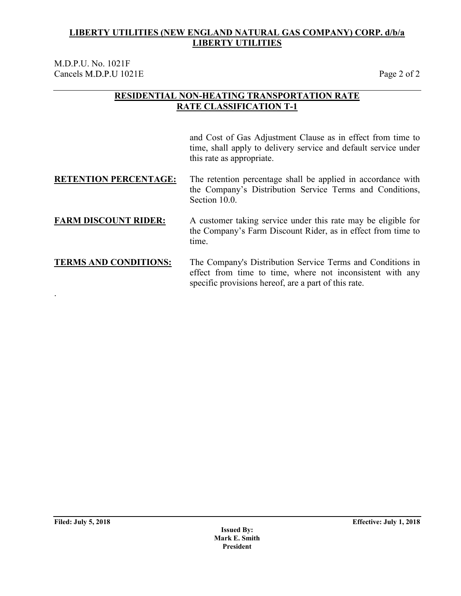M.D.P.U. No. 1021F Cancels M.D.P.U 1021E Page 2 of 2

### **RESIDENTIAL NON-HEATING TRANSPORTATION RATE RATE CLASSIFICATION T-1**

and Cost of Gas Adjustment Clause as in effect from time to time, shall apply to delivery service and default service under this rate as appropriate.

**RETENTION PERCENTAGE:** The retention percentage shall be applied in accordance with the Company's Distribution Service Terms and Conditions, Section 10.0.

### **FARM DISCOUNT RIDER:** A customer taking service under this rate may be eligible for the Company's Farm Discount Rider, as in effect from time to time.

**TERMS AND CONDITIONS:** The Company's Distribution Service Terms and Conditions in effect from time to time, where not inconsistent with any specific provisions hereof, are a part of this rate.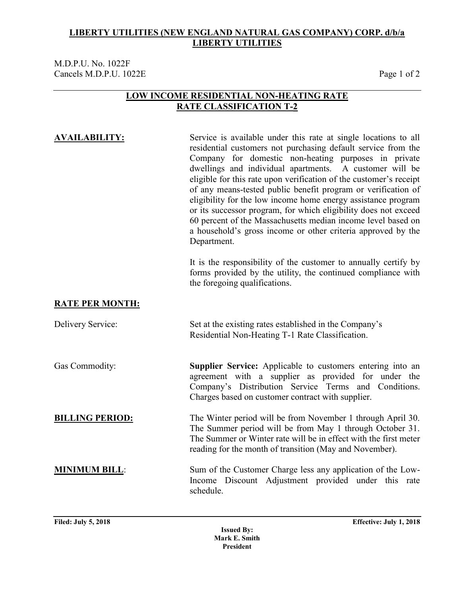### M.D.P.U. No. 1022F Cancels M.D.P.U. 1022E Page 1 of 2

### **LOW INCOME RESIDENTIAL NON-HEATING RATE RATE CLASSIFICATION T-2**

**AVAILABILITY:** Service is available under this rate at single locations to all residential customers not purchasing default service from the Company for domestic non-heating purposes in private dwellings and individual apartments. A customer will be eligible for this rate upon verification of the customer's receipt of any means-tested public benefit program or verification of eligibility for the low income home energy assistance program or its successor program, for which eligibility does not exceed 60 percent of the Massachusetts median income level based on a household's gross income or other criteria approved by the Department.

> It is the responsibility of the customer to annually certify by forms provided by the utility, the continued compliance with the foregoing qualifications.

### **RATE PER MONTH:**

Delivery Service: Set at the existing rates established in the Company's Residential Non-Heating T-1 Rate Classification.

Gas Commodity: **Supplier Service:** Applicable to customers entering into an agreement with a supplier as provided for under the Company's Distribution Service Terms and Conditions. Charges based on customer contract with supplier.

**BILLING PERIOD:** The Winter period will be from November 1 through April 30. The Summer period will be from May 1 through October 31. The Summer or Winter rate will be in effect with the first meter reading for the month of transition (May and November).

**MINIMUM BILL:** Sum of the Customer Charge less any application of the Low-Income Discount Adjustment provided under this rate schedule.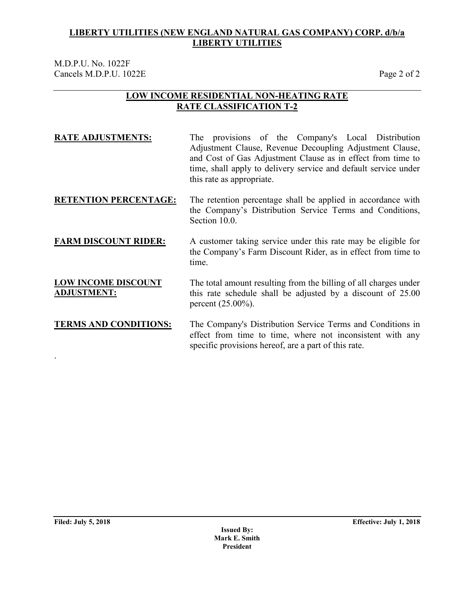M.D.P.U. No. 1022F Cancels M.D.P.U. 1022E Page 2 of 2

### **LOW INCOME RESIDENTIAL NON-HEATING RATE RATE CLASSIFICATION T-2**

| <b>RATE ADJUSTMENTS:</b> |                           |  |  | The provisions of the Company's Local Distribution              |
|--------------------------|---------------------------|--|--|-----------------------------------------------------------------|
|                          |                           |  |  | Adjustment Clause, Revenue Decoupling Adjustment Clause,        |
|                          |                           |  |  | and Cost of Gas Adjustment Clause as in effect from time to     |
|                          |                           |  |  | time, shall apply to delivery service and default service under |
|                          | this rate as appropriate. |  |  |                                                                 |

### **RETENTION PERCENTAGE:** The retention percentage shall be applied in accordance with the Company's Distribution Service Terms and Conditions, Section 10.0.

### **FARM DISCOUNT RIDER:** A customer taking service under this rate may be eligible for the Company's Farm Discount Rider, as in effect from time to time.

### **LOW INCOME DISCOUNT ADJUSTMENT:** The total amount resulting from the billing of all charges under this rate schedule shall be adjusted by a discount of 25.00 percent (25.00%).

### **TERMS AND CONDITIONS:** The Company's Distribution Service Terms and Conditions in effect from time to time, where not inconsistent with any specific provisions hereof, are a part of this rate.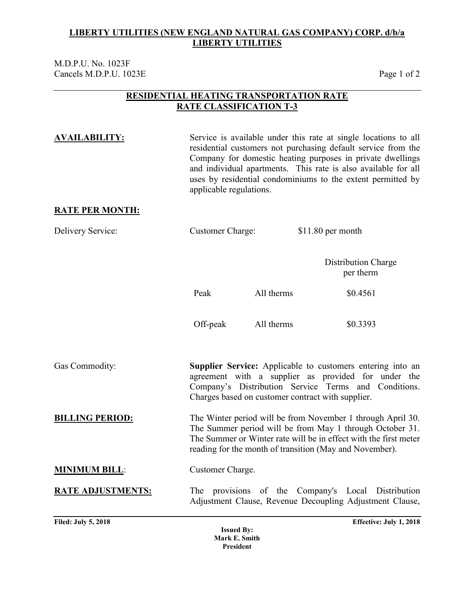M.D.P.U. No. 1023F Cancels M.D.P.U. 1023E Page 1 of 2

### **RESIDENTIAL HEATING TRANSPORTATION RATE RATE CLASSIFICATION T-3**

**AVAILABILITY:** Service is available under this rate at single locations to all residential customers not purchasing default service from the Company for domestic heating purposes in private dwellings and individual apartments. This rate is also available for all uses by residential condominiums to the extent permitted by applicable regulations.

### **RATE PER MONTH:**

| Delivery Service:        | <b>Customer Charge:</b> |            | \$11.80 per month                                                                                                                                                                                                                                      |  |
|--------------------------|-------------------------|------------|--------------------------------------------------------------------------------------------------------------------------------------------------------------------------------------------------------------------------------------------------------|--|
|                          |                         |            | <b>Distribution Charge</b><br>per therm                                                                                                                                                                                                                |  |
|                          | Peak                    | All therms | \$0.4561                                                                                                                                                                                                                                               |  |
|                          | Off-peak                | All therms | \$0.3393                                                                                                                                                                                                                                               |  |
| <b>Gas Commodity:</b>    |                         |            | <b>Supplier Service:</b> Applicable to customers entering into an<br>agreement with a supplier as provided for under the<br>Company's Distribution Service Terms and Conditions.<br>Charges based on customer contract with supplier.                  |  |
| <b>BILLING PERIOD:</b>   |                         |            | The Winter period will be from November 1 through April 30.<br>The Summer period will be from May 1 through October 31.<br>The Summer or Winter rate will be in effect with the first meter<br>reading for the month of transition (May and November). |  |
| <b>MINIMUM BILL:</b>     | Customer Charge.        |            |                                                                                                                                                                                                                                                        |  |
| <b>RATE ADJUSTMENTS:</b> |                         |            | The provisions of the Company's Local Distribution<br>Adjustment Clause, Revenue Decoupling Adjustment Clause,                                                                                                                                         |  |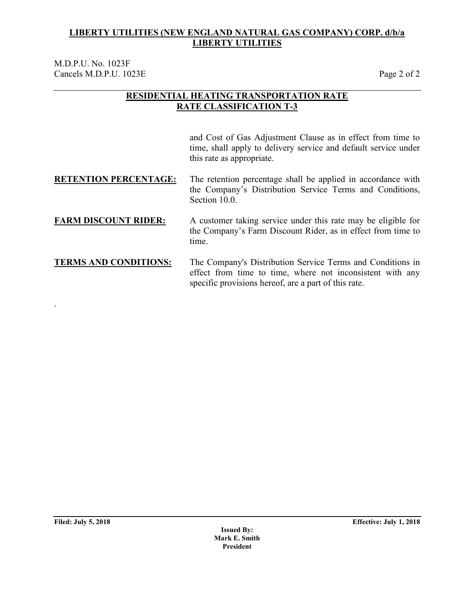M.D.P.U. No. 1023F Cancels M.D.P.U. 1023E Page 2 of 2

## **RESIDENTIAL HEATING TRANSPORTATION RATE RATE CLASSIFICATION T-3**

and Cost of Gas Adjustment Clause as in effect from time to time, shall apply to delivery service and default service under this rate as appropriate.

**RETENTION PERCENTAGE:** The retention percentage shall be applied in accordance with the Company's Distribution Service Terms and Conditions, Section 10.0.

### **FARM DISCOUNT RIDER:** A customer taking service under this rate may be eligible for the Company's Farm Discount Rider, as in effect from time to time.

**TERMS AND CONDITIONS:** The Company's Distribution Service Terms and Conditions in effect from time to time, where not inconsistent with any specific provisions hereof, are a part of this rate.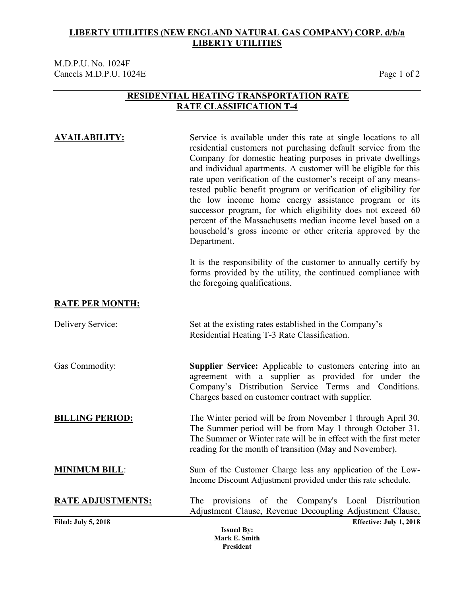M.D.P.U. No. 1024F Cancels M.D.P.U. 1024E Page 1 of 2

### **RESIDENTIAL HEATING TRANSPORTATION RATE RATE CLASSIFICATION T-4**

| <b>AVAILABILITY:</b> | Service is available under this rate at single locations to all                                                     |
|----------------------|---------------------------------------------------------------------------------------------------------------------|
|                      | residential customers not purchasing default service from the                                                       |
|                      | Company for domestic heating purposes in private dwellings                                                          |
|                      | and individual apartments. A customer will be eligible for this                                                     |
|                      | rate upon verification of the customer's receipt of any means-                                                      |
|                      | tested public benefit program or verification of eligibility for                                                    |
|                      | the low income home energy assistance program or its<br>successor program, for which eligibility does not exceed 60 |
|                      | percent of the Massachusetts median income level based on a                                                         |
|                      | household's gross income or other criteria approved by the                                                          |
|                      | Department.                                                                                                         |
|                      |                                                                                                                     |
|                      | It is the responsibility of the customer to annually certify by                                                     |

It is the responsibility of the customer to annually certify by forms provided by the utility, the continued compliance with the foregoing qualifications.

## **RATE PER MONTH:**

| Delivery Service:          | Set at the existing rates established in the Company's           |
|----------------------------|------------------------------------------------------------------|
|                            | Residential Heating T-3 Rate Classification.                     |
|                            |                                                                  |
| Gas Commodity:             | Supplier Service: Applicable to customers entering into an       |
|                            | agreement with a supplier as provided for under the              |
|                            | Company's Distribution Service Terms and Conditions.             |
|                            | Charges based on customer contract with supplier.                |
| <b>BILLING PERIOD:</b>     | The Winter period will be from November 1 through April 30.      |
|                            | The Summer period will be from May 1 through October 31.         |
|                            | The Summer or Winter rate will be in effect with the first meter |
|                            | reading for the month of transition (May and November).          |
| <b>MINIMUM BILL:</b>       | Sum of the Customer Charge less any application of the Low-      |
|                            | Income Discount Adjustment provided under this rate schedule.    |
| <b>RATE ADJUSTMENTS:</b>   | The provisions of the Company's Local Distribution               |
|                            | Adjustment Clause, Revenue Decoupling Adjustment Clause,         |
| <b>Filed: July 5, 2018</b> | Effective: July 1, 2018                                          |
|                            | <b>Issued By:</b>                                                |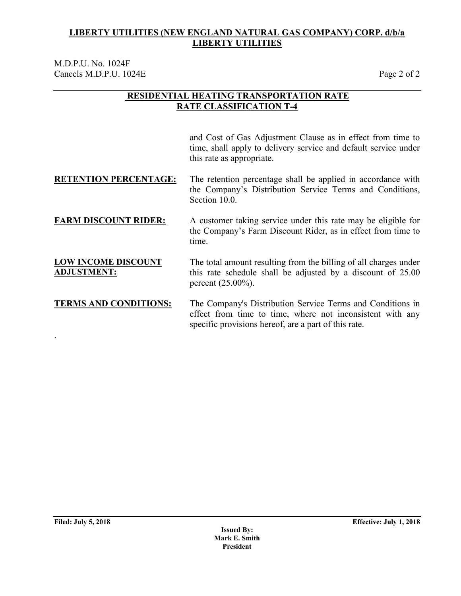M.D.P.U. No. 1024F Cancels M.D.P.U. 1024E Page 2 of 2

### **RESIDENTIAL HEATING TRANSPORTATION RATE RATE CLASSIFICATION T-4**

and Cost of Gas Adjustment Clause as in effect from time to time, shall apply to delivery service and default service under this rate as appropriate.

### **RETENTION PERCENTAGE:** The retention percentage shall be applied in accordance with the Company's Distribution Service Terms and Conditions, Section 10.0.

### **FARM DISCOUNT RIDER:** A customer taking service under this rate may be eligible for the Company's Farm Discount Rider, as in effect from time to time.

### **LOW INCOME DISCOUNT ADJUSTMENT:** The total amount resulting from the billing of all charges under this rate schedule shall be adjusted by a discount of 25.00 percent (25.00%).

### **TERMS AND CONDITIONS:** The Company's Distribution Service Terms and Conditions in effect from time to time, where not inconsistent with any specific provisions hereof, are a part of this rate.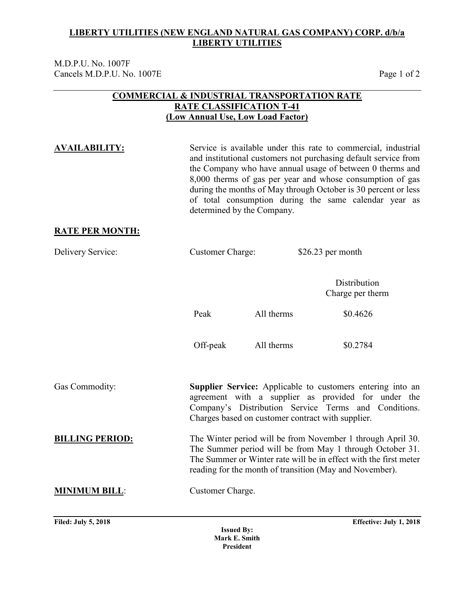M.D.P.U. No. 1007F Cancels M.D.P.U. No. 1007E Page 1 of 2

### **COMMERCIAL & INDUSTRIAL TRANSPORTATION RATE RATE CLASSIFICATION T-41 (Low Annual Use, Low Load Factor)**

**AVAILABILITY:** Service is available under this rate to commercial, industrial and institutional customers not purchasing default service from the Company who have annual usage of between 0 therms and 8,000 therms of gas per year and whose consumption of gas during the months of May through October is 30 percent or less of total consumption during the same calendar year as determined by the Company. **RATE PER MONTH:** Delivery Service: Customer Charge: \$26.23 per month **Distribution** Charge per therm Peak All therms  $\$0.4626$ Off-peak All therms  $$0.2784$ Gas Commodity: **Supplier Service:** Applicable to customers entering into an agreement with a supplier as provided for under the Company's Distribution Service Terms and Conditions. Charges based on customer contract with supplier. **BILLING PERIOD:** The Winter period will be from November 1 through April 30. The Summer period will be from May 1 through October 31. The Summer or Winter rate will be in effect with the first meter reading for the month of transition (May and November). **MINIMUM BILL**: Customer Charge.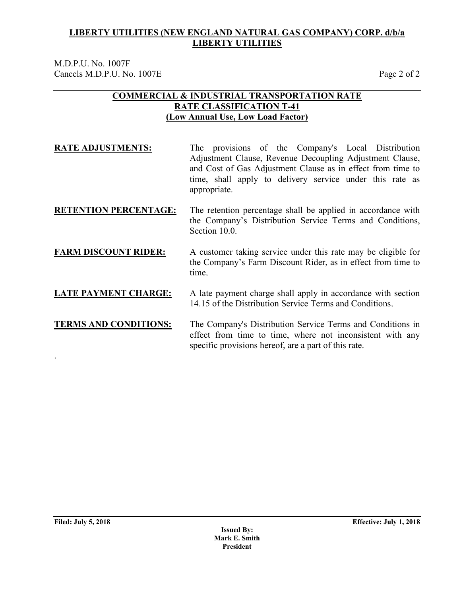M.D.P.U. No. 1007F Cancels M.D.P.U. No. 1007E Page 2 of 2

### **COMMERCIAL & INDUSTRIAL TRANSPORTATION RATE RATE CLASSIFICATION T-41 (Low Annual Use, Low Load Factor)**

**RATE ADJUSTMENTS:** The provisions of the Company's Local Distribution Adjustment Clause, Revenue Decoupling Adjustment Clause, and Cost of Gas Adjustment Clause as in effect from time to time, shall apply to delivery service under this rate as appropriate.

### **RETENTION PERCENTAGE:** The retention percentage shall be applied in accordance with the Company's Distribution Service Terms and Conditions, Section 10.0.

### **FARM DISCOUNT RIDER:** A customer taking service under this rate may be eligible for the Company's Farm Discount Rider, as in effect from time to time.

### **LATE PAYMENT CHARGE:** A late payment charge shall apply in accordance with section 14.15 of the Distribution Service Terms and Conditions.

### **TERMS AND CONDITIONS:** The Company's Distribution Service Terms and Conditions in effect from time to time, where not inconsistent with any specific provisions hereof, are a part of this rate.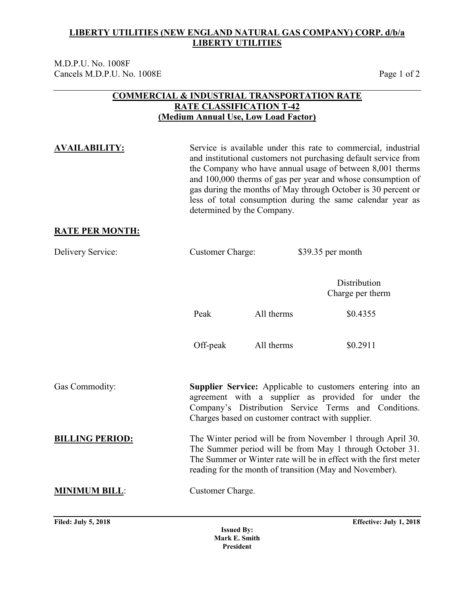M.D.P.U. No. 1008F Cancels M.D.P.U. No. 1008E Page 1 of 2

### **COMMERCIAL & INDUSTRIAL TRANSPORTATION RATE RATE CLASSIFICATION T-42 (Medium Annual Use, Low Load Factor)**

**AVAILABILITY:** Service is available under this rate to commercial, industrial and institutional customers not purchasing default service from the Company who have annual usage of between 8,001 therms and 100,000 therms of gas per year and whose consumption of gas during the months of May through October is 30 percent or less of total consumption during the same calendar year as determined by the Company. **RATE PER MONTH:** Delivery Service: Customer Charge: \$39.35 per month Distribution Charge per therm Peak All therms \$0.4355 Off-peak All therms \$0.2911 Gas Commodity: **Supplier Service:** Applicable to customers entering into an agreement with a supplier as provided for under the Company's Distribution Service Terms and Conditions. Charges based on customer contract with supplier. **BILLING PERIOD:** The Winter period will be from November 1 through April 30. The Summer period will be from May 1 through October 31. The Summer or Winter rate will be in effect with the first meter reading for the month of transition (May and November). **MINIMUM BILL**: Customer Charge.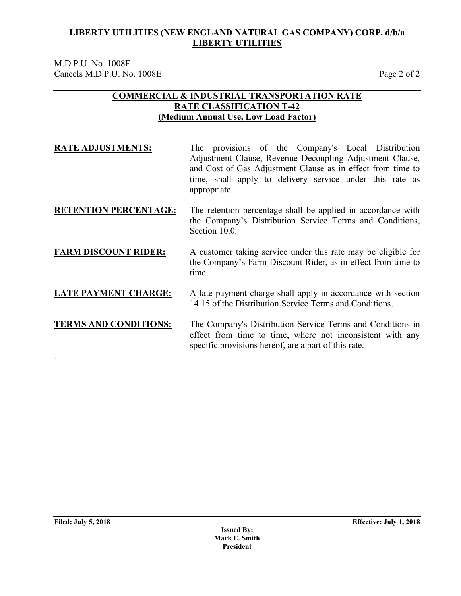M.D.P.U. No. 1008F Cancels M.D.P.U. No. 1008E Page 2 of 2

### **COMMERCIAL & INDUSTRIAL TRANSPORTATION RATE RATE CLASSIFICATION T-42 (Medium Annual Use, Low Load Factor)**

**RATE ADJUSTMENTS:** The provisions of the Company's Local Distribution Adjustment Clause, Revenue Decoupling Adjustment Clause, and Cost of Gas Adjustment Clause as in effect from time to time, shall apply to delivery service under this rate as appropriate.

### **RETENTION PERCENTAGE:** The retention percentage shall be applied in accordance with the Company's Distribution Service Terms and Conditions, Section 10.0.

### **FARM DISCOUNT RIDER:** A customer taking service under this rate may be eligible for the Company's Farm Discount Rider, as in effect from time to time.

### **LATE PAYMENT CHARGE:** A late payment charge shall apply in accordance with section 14.15 of the Distribution Service Terms and Conditions.

### **TERMS AND CONDITIONS:** The Company's Distribution Service Terms and Conditions in effect from time to time, where not inconsistent with any specific provisions hereof, are a part of this rate.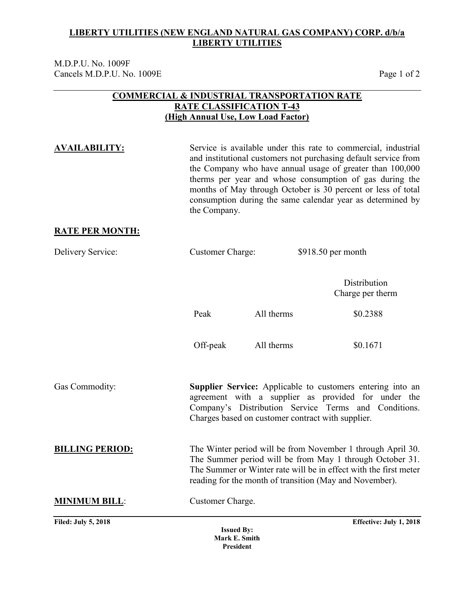M.D.P.U. No. 1009F Cancels M.D.P.U. No. 1009E Page 1 of 2

### **COMMERCIAL & INDUSTRIAL TRANSPORTATION RATE RATE CLASSIFICATION T-43 (High Annual Use, Low Load Factor)**

**AVAILABILITY:** Service is available under this rate to commercial, industrial and institutional customers not purchasing default service from the Company who have annual usage of greater than 100,000 therms per year and whose consumption of gas during the months of May through October is 30 percent or less of total consumption during the same calendar year as determined by the Company.

### **RATE PER MONTH:**

| Delivery Service:          | <b>Customer Charge:</b>                  |                                                   | $$918.50$ per month                                                                                                                                                                                                                                    |
|----------------------------|------------------------------------------|---------------------------------------------------|--------------------------------------------------------------------------------------------------------------------------------------------------------------------------------------------------------------------------------------------------------|
|                            |                                          |                                                   | Distribution<br>Charge per therm                                                                                                                                                                                                                       |
|                            | Peak                                     | All therms                                        | \$0.2388                                                                                                                                                                                                                                               |
|                            | Off-peak                                 | All therms                                        | \$0.1671                                                                                                                                                                                                                                               |
| Gas Commodity:             |                                          | Charges based on customer contract with supplier. | <b>Supplier Service:</b> Applicable to customers entering into an<br>agreement with a supplier as provided for under the<br>Company's Distribution Service Terms and Conditions.                                                                       |
| <b>BILLING PERIOD:</b>     |                                          |                                                   | The Winter period will be from November 1 through April 30.<br>The Summer period will be from May 1 through October 31.<br>The Summer or Winter rate will be in effect with the first meter<br>reading for the month of transition (May and November). |
| <b>MINIMUM BILL:</b>       | Customer Charge.                         |                                                   |                                                                                                                                                                                                                                                        |
| <b>Filed: July 5, 2018</b> | <b>Issued By:</b><br>$M$ and $E$ Candida |                                                   | Effective: July 1, 2018                                                                                                                                                                                                                                |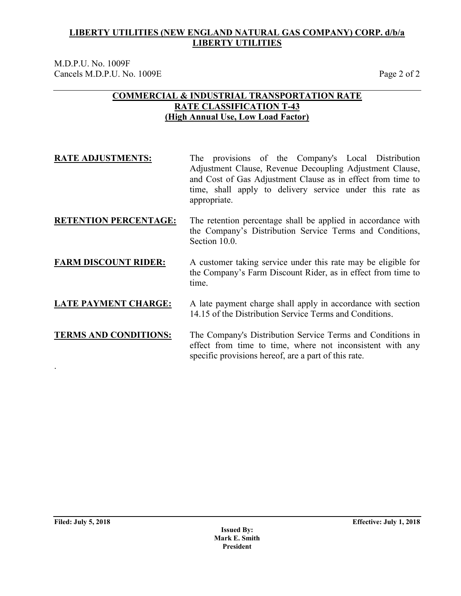M.D.P.U. No. 1009F Cancels M.D.P.U. No. 1009E Page 2 of 2

### **COMMERCIAL & INDUSTRIAL TRANSPORTATION RATE RATE CLASSIFICATION T-43 (High Annual Use, Low Load Factor)**

| <b>RATE ADJUSTMENTS:</b>     | The provisions of the Company's Local Distribution<br>Adjustment Clause, Revenue Decoupling Adjustment Clause,<br>and Cost of Gas Adjustment Clause as in effect from time to<br>time, shall apply to delivery service under this rate as<br>appropriate. |
|------------------------------|-----------------------------------------------------------------------------------------------------------------------------------------------------------------------------------------------------------------------------------------------------------|
| <b>RETENTION PERCENTAGE:</b> | The retention percentage shall be applied in accordance with<br>the Company's Distribution Service Terms and Conditions,<br>Section 10.0.                                                                                                                 |
| <b>FARM DISCOUNT RIDER:</b>  | A customer taking service under this rate may be eligible for<br>the Company's Farm Discount Rider, as in effect from time to<br>time.                                                                                                                    |
| <b>LATE PAYMENT CHARGE:</b>  | A late payment charge shall apply in accordance with section<br>14.15 of the Distribution Service Terms and Conditions.                                                                                                                                   |
| <b>TERMS AND CONDITIONS:</b> | The Company's Distribution Service Terms and Conditions in<br>effect from time to time, where not inconsistent with any                                                                                                                                   |

specific provisions hereof, are a part of this rate.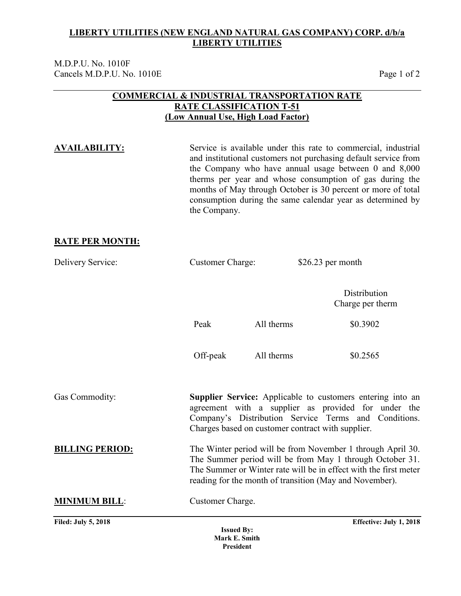M.D.P.U. No. 1010F Cancels M.D.P.U. No. 1010E Page 1 of 2

### **COMMERCIAL & INDUSTRIAL TRANSPORTATION RATE RATE CLASSIFICATION T-51 (Low Annual Use, High Load Factor)**

**AVAILABILITY:** Service is available under this rate to commercial, industrial and institutional customers not purchasing default service from the Company who have annual usage between 0 and 8,000 therms per year and whose consumption of gas during the months of May through October is 30 percent or more of total consumption during the same calendar year as determined by the Company.

### **RATE PER MONTH:**

| Delivery Service:          | <b>Customer Charge:</b>            |            | $$26.23$ per month                                                                                                                                                                                                                                     |  |  |
|----------------------------|------------------------------------|------------|--------------------------------------------------------------------------------------------------------------------------------------------------------------------------------------------------------------------------------------------------------|--|--|
|                            |                                    |            | Distribution<br>Charge per therm                                                                                                                                                                                                                       |  |  |
|                            | Peak                               | All therms | \$0.3902                                                                                                                                                                                                                                               |  |  |
|                            | Off-peak                           | All therms | \$0.2565                                                                                                                                                                                                                                               |  |  |
| Gas Commodity:             |                                    |            | <b>Supplier Service:</b> Applicable to customers entering into an<br>agreement with a supplier as provided for under the<br>Company's Distribution Service Terms and Conditions.<br>Charges based on customer contract with supplier.                  |  |  |
| <b>BILLING PERIOD:</b>     |                                    |            | The Winter period will be from November 1 through April 30.<br>The Summer period will be from May 1 through October 31.<br>The Summer or Winter rate will be in effect with the first meter<br>reading for the month of transition (May and November). |  |  |
| <b>MINIMUM BILL:</b>       | Customer Charge.                   |            |                                                                                                                                                                                                                                                        |  |  |
| <b>Filed: July 5, 2018</b> | <b>Issued By:</b><br>Mark E. Smith |            | Effective: July 1, 2018                                                                                                                                                                                                                                |  |  |

**President**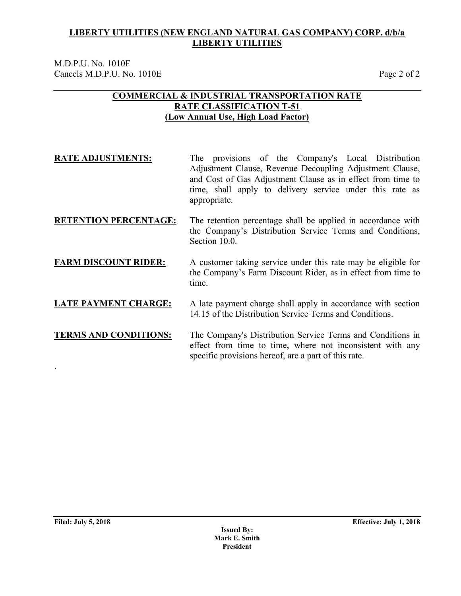M.D.P.U. No. 1010F Cancels M.D.P.U. No. 1010E Page 2 of 2

### **COMMERCIAL & INDUSTRIAL TRANSPORTATION RATE RATE CLASSIFICATION T-51 (Low Annual Use, High Load Factor)**

| <b>RATE ADJUSTMENTS:</b>     | The provisions of the Company's Local Distribution<br>Adjustment Clause, Revenue Decoupling Adjustment Clause,<br>and Cost of Gas Adjustment Clause as in effect from time to<br>time, shall apply to delivery service under this rate as<br>appropriate. |
|------------------------------|-----------------------------------------------------------------------------------------------------------------------------------------------------------------------------------------------------------------------------------------------------------|
| <b>RETENTION PERCENTAGE:</b> | The retention percentage shall be applied in accordance with<br>the Company's Distribution Service Terms and Conditions,<br>Section 10.0.                                                                                                                 |
| <b>FARM DISCOUNT RIDER:</b>  | A customer taking service under this rate may be eligible for<br>the Company's Farm Discount Rider, as in effect from time to<br>time.                                                                                                                    |
| <b>LATE PAYMENT CHARGE:</b>  | A late payment charge shall apply in accordance with section<br>14.15 of the Distribution Service Terms and Conditions.                                                                                                                                   |
| <b>TERMS AND CONDITIONS:</b> | The Company's Distribution Service Terms and Conditions in<br>effect from time to time, where not inconsistent with any<br>specific provisions hereof, are a part of this rate.                                                                           |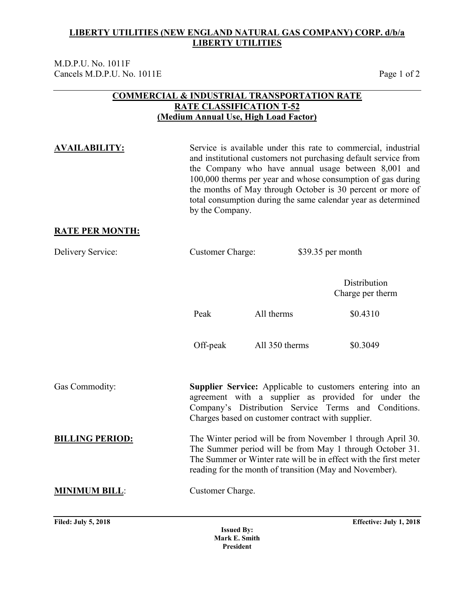M.D.P.U. No. 1011F Cancels M.D.P.U. No. 1011E Page 1 of 2

### **COMMERCIAL & INDUSTRIAL TRANSPORTATION RATE RATE CLASSIFICATION T-52 (Medium Annual Use, High Load Factor)**

**AVAILABILITY:** Service is available under this rate to commercial, industrial and institutional customers not purchasing default service from the Company who have annual usage between 8,001 and 100,000 therms per year and whose consumption of gas during the months of May through October is 30 percent or more of total consumption during the same calendar year as determined by the Company.

### **RATE PER MONTH:**

| Delivery Service:          | <b>Customer Charge:</b>                                                                                                                                                                                                                                |                | \$39.35 per month                |  |
|----------------------------|--------------------------------------------------------------------------------------------------------------------------------------------------------------------------------------------------------------------------------------------------------|----------------|----------------------------------|--|
|                            |                                                                                                                                                                                                                                                        |                | Distribution<br>Charge per therm |  |
|                            | Peak                                                                                                                                                                                                                                                   | All therms     | \$0.4310                         |  |
|                            | Off-peak                                                                                                                                                                                                                                               | All 350 therms | \$0.3049                         |  |
| Gas Commodity:             | Supplier Service: Applicable to customers entering into an<br>agreement with a supplier as provided for under the<br>Company's Distribution Service Terms and Conditions.<br>Charges based on customer contract with supplier.                         |                |                                  |  |
| <b>BILLING PERIOD:</b>     | The Winter period will be from November 1 through April 30.<br>The Summer period will be from May 1 through October 31.<br>The Summer or Winter rate will be in effect with the first meter<br>reading for the month of transition (May and November). |                |                                  |  |
| <b>MINIMUM BILL:</b>       | Customer Charge.                                                                                                                                                                                                                                       |                |                                  |  |
| <b>Filed: July 5, 2018</b> |                                                                                                                                                                                                                                                        |                | Effective: July 1, 2018          |  |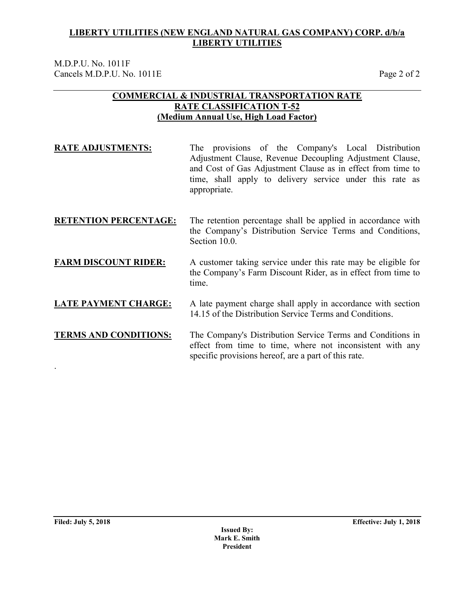M.D.P.U. No. 1011F Cancels M.D.P.U. No. 1011E Page 2 of 2

### **COMMERCIAL & INDUSTRIAL TRANSPORTATION RATE RATE CLASSIFICATION T-52 (Medium Annual Use, High Load Factor)**

**RATE ADJUSTMENTS:** The provisions of the Company's Local Distribution Adjustment Clause, Revenue Decoupling Adjustment Clause, and Cost of Gas Adjustment Clause as in effect from time to time, shall apply to delivery service under this rate as appropriate.

### **RETENTION PERCENTAGE:** The retention percentage shall be applied in accordance with the Company's Distribution Service Terms and Conditions, Section 10.0.

### **FARM DISCOUNT RIDER:** A customer taking service under this rate may be eligible for the Company's Farm Discount Rider, as in effect from time to time.

### **LATE PAYMENT CHARGE:** A late payment charge shall apply in accordance with section 14.15 of the Distribution Service Terms and Conditions.

### **TERMS AND CONDITIONS:** The Company's Distribution Service Terms and Conditions in effect from time to time, where not inconsistent with any specific provisions hereof, are a part of this rate.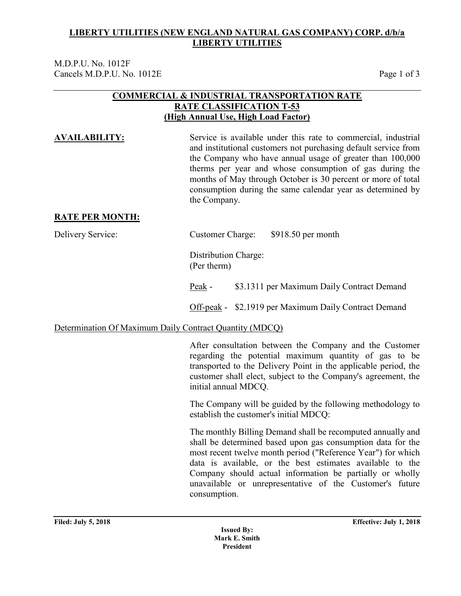M.D.P.U. No. 1012F Cancels M.D.P.U. No. 1012E Page 1 of 3

### **COMMERCIAL & INDUSTRIAL TRANSPORTATION RATE RATE CLASSIFICATION T-53 (High Annual Use, High Load Factor)**

**AVAILABILITY:** Service is available under this rate to commercial, industrial and institutional customers not purchasing default service from the Company who have annual usage of greater than 100,000 therms per year and whose consumption of gas during the months of May through October is 30 percent or more of total consumption during the same calendar year as determined by the Company.

### **RATE PER MONTH:**

Delivery Service: Customer Charge: \$918.50 per month

Distribution Charge: (Per therm)

Peak - \$3.1311 per Maximum Daily Contract Demand

Off-peak - \$2.1919 per Maximum Daily Contract Demand

### Determination Of Maximum Daily Contract Quantity (MDCQ)

After consultation between the Company and the Customer regarding the potential maximum quantity of gas to be transported to the Delivery Point in the applicable period, the customer shall elect, subject to the Company's agreement, the initial annual MDCQ.

The Company will be guided by the following methodology to establish the customer's initial MDCQ:

The monthly Billing Demand shall be recomputed annually and shall be determined based upon gas consumption data for the most recent twelve month period ("Reference Year") for which data is available, or the best estimates available to the Company should actual information be partially or wholly unavailable or unrepresentative of the Customer's future consumption.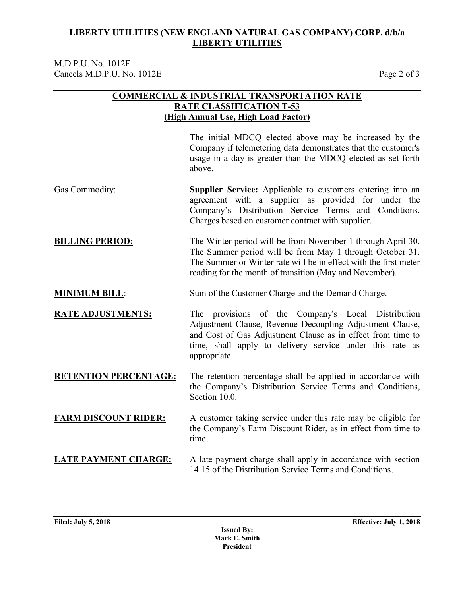M.D.P.U. No. 1012F Cancels M.D.P.U. No. 1012E Page 2 of 3

### **COMMERCIAL & INDUSTRIAL TRANSPORTATION RATE RATE CLASSIFICATION T-53 (High Annual Use, High Load Factor)**

The initial MDCQ elected above may be increased by the Company if telemetering data demonstrates that the customer's usage in a day is greater than the MDCQ elected as set forth above.

- Gas Commodity: **Supplier Service:** Applicable to customers entering into an agreement with a supplier as provided for under the Company's Distribution Service Terms and Conditions. Charges based on customer contract with supplier.
- **BILLING PERIOD:** The Winter period will be from November 1 through April 30. The Summer period will be from May 1 through October 31. The Summer or Winter rate will be in effect with the first meter reading for the month of transition (May and November).
- **MINIMUM BILL**: Sum of the Customer Charge and the Demand Charge.

**RATE ADJUSTMENTS:** The provisions of the Company's Local Distribution Adjustment Clause, Revenue Decoupling Adjustment Clause, and Cost of Gas Adjustment Clause as in effect from time to time, shall apply to delivery service under this rate as appropriate.

**RETENTION PERCENTAGE:** The retention percentage shall be applied in accordance with the Company's Distribution Service Terms and Conditions, Section 10.0.

### **FARM DISCOUNT RIDER:** A customer taking service under this rate may be eligible for the Company's Farm Discount Rider, as in effect from time to time.

### **LATE PAYMENT CHARGE:** A late payment charge shall apply in accordance with section 14.15 of the Distribution Service Terms and Conditions.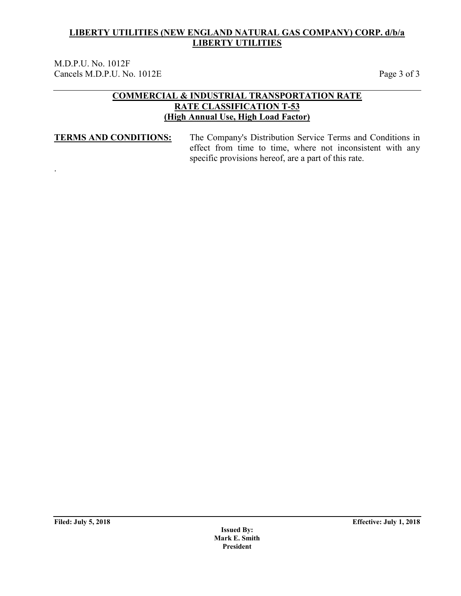M.D.P.U. No. 1012F Cancels M.D.P.U. No. 1012E Page 3 of 3

### **COMMERCIAL & INDUSTRIAL TRANSPORTATION RATE RATE CLASSIFICATION T-53 (High Annual Use, High Load Factor)**

.

**TERMS AND CONDITIONS:** The Company's Distribution Service Terms and Conditions in effect from time to time, where not inconsistent with any specific provisions hereof, are a part of this rate.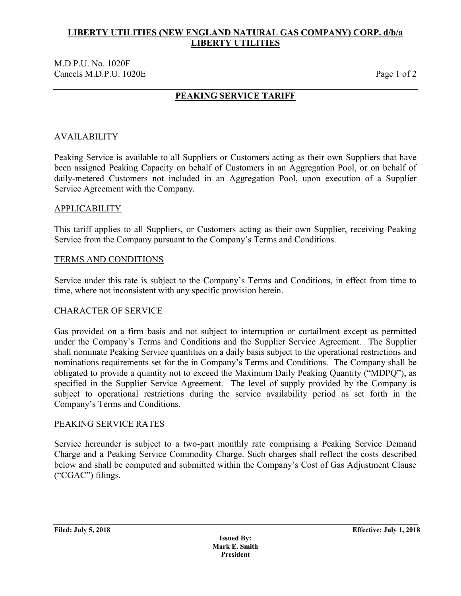### M.D.P.U. No. 1020F Cancels M.D.P.U. 1020E Page 1 of 2

## **PEAKING SERVICE TARIFF**

### AVAILABILITY

Peaking Service is available to all Suppliers or Customers acting as their own Suppliers that have been assigned Peaking Capacity on behalf of Customers in an Aggregation Pool, or on behalf of daily-metered Customers not included in an Aggregation Pool, upon execution of a Supplier Service Agreement with the Company.

### APPLICABILITY

This tariff applies to all Suppliers, or Customers acting as their own Supplier, receiving Peaking Service from the Company pursuant to the Company's Terms and Conditions.

### TERMS AND CONDITIONS

Service under this rate is subject to the Company's Terms and Conditions, in effect from time to time, where not inconsistent with any specific provision herein.

### CHARACTER OF SERVICE

Gas provided on a firm basis and not subject to interruption or curtailment except as permitted under the Company's Terms and Conditions and the Supplier Service Agreement. The Supplier shall nominate Peaking Service quantities on a daily basis subject to the operational restrictions and nominations requirements set for the in Company's Terms and Conditions. The Company shall be obligated to provide a quantity not to exceed the Maximum Daily Peaking Quantity ("MDPQ"), as specified in the Supplier Service Agreement. The level of supply provided by the Company is subject to operational restrictions during the service availability period as set forth in the Company's Terms and Conditions.

### PEAKING SERVICE RATES

Service hereunder is subject to a two-part monthly rate comprising a Peaking Service Demand Charge and a Peaking Service Commodity Charge. Such charges shall reflect the costs described below and shall be computed and submitted within the Company's Cost of Gas Adjustment Clause ("CGAC") filings.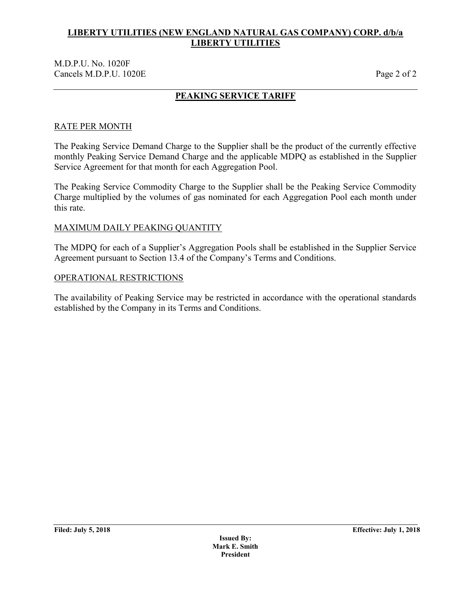### M.D.P.U. No. 1020F Cancels M.D.P.U. 1020E Page 2 of 2

## **PEAKING SERVICE TARIFF**

## RATE PER MONTH

The Peaking Service Demand Charge to the Supplier shall be the product of the currently effective monthly Peaking Service Demand Charge and the applicable MDPQ as established in the Supplier Service Agreement for that month for each Aggregation Pool.

The Peaking Service Commodity Charge to the Supplier shall be the Peaking Service Commodity Charge multiplied by the volumes of gas nominated for each Aggregation Pool each month under this rate.

### MAXIMUM DAILY PEAKING QUANTITY

The MDPQ for each of a Supplier's Aggregation Pools shall be established in the Supplier Service Agreement pursuant to Section 13.4 of the Company's Terms and Conditions.

### OPERATIONAL RESTRICTIONS

The availability of Peaking Service may be restricted in accordance with the operational standards established by the Company in its Terms and Conditions.